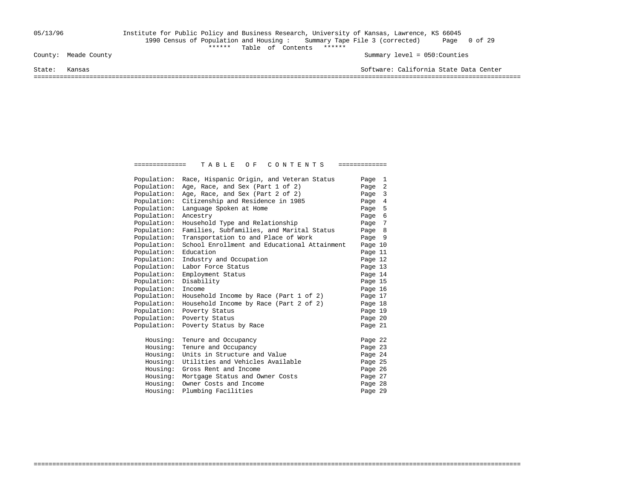## 05/13/96 Institute for Public Policy and Business Research, University of Kansas, Lawrence, KS 66045 1990 Census of Population and Housing : Summary Tape File 3 (corrected) Page 0 of 29 County: Meade County<br>
Table of Contents \*\*\*\*\*\*\*

Summary level =  $050$ : Counties

State: Kansas Software: California State Data Center

===================================================================================================================================

| Population: | Race, Hispanic Origin, and Veteran Status    | Page 1  |  |
|-------------|----------------------------------------------|---------|--|
| Population: | Age, Race, and Sex (Part 1 of 2)             | Page 2  |  |
| Population: | Age, Race, and Sex (Part 2 of 2)             | Page 3  |  |
| Population: | Citizenship and Residence in 1985            | Page 4  |  |
| Population: | Language Spoken at Home                      | Page 5  |  |
| Population: | Ancestry                                     | Page 6  |  |
| Population: | Household Type and Relationship              | Page 7  |  |
| Population: | Families, Subfamilies, and Marital Status    | Page 8  |  |
| Population: | Transportation to and Place of Work          | Page 9  |  |
| Population: | School Enrollment and Educational Attainment | Page 10 |  |
| Population: | Education                                    | Page 11 |  |
| Population: | Industry and Occupation                      | Page 12 |  |
| Population: | Labor Force Status                           | Page 13 |  |
| Population: | Employment Status                            | Page 14 |  |
| Population: | Disability                                   | Page 15 |  |
| Population: | Income                                       | Page 16 |  |
| Population: | Household Income by Race (Part 1 of 2)       | Page 17 |  |
| Population: | Household Income by Race (Part 2 of 2)       | Page 18 |  |
| Population: | Poverty Status                               | Page 19 |  |
| Population: | Poverty Status                               | Page 20 |  |
| Population: | Poverty Status by Race                       | Page 21 |  |
| Housing:    | Tenure and Occupancy                         | Page 22 |  |
| Housing:    | Tenure and Occupancy                         | Page 23 |  |
| Housing:    | Units in Structure and Value                 | Page 24 |  |
| Housing:    | Utilities and Vehicles Available             | Page 25 |  |
| Housing:    | Gross Rent and Income                        | Page 26 |  |
| Housing:    | Mortgage Status and Owner Costs              | Page 27 |  |
| Housing:    | Owner Costs and Income                       | Page 28 |  |
| Housing:    | Plumbing Facilities                          | Page 29 |  |

===================================================================================================================================

============== T A B L E O F C O N T E N T S =============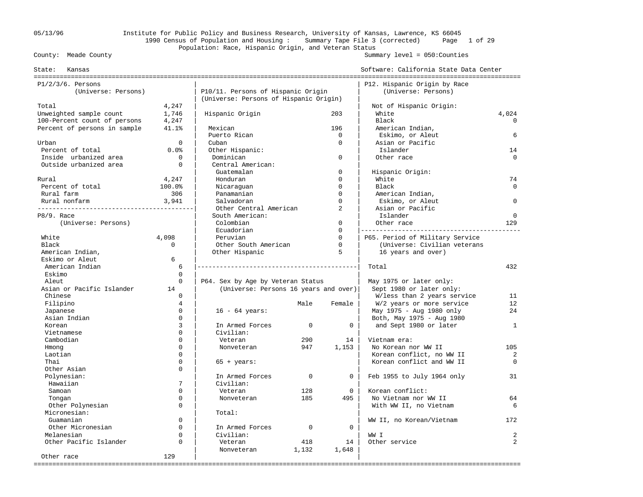## 05/13/96 Institute for Public Policy and Business Research, University of Kansas, Lawrence, KS 66045 1990 Census of Population and Housing : Summary Tape File 3 (corrected) Page 1 of 29 Population: Race, Hispanic Origin, and Veteran Status<br>County: Meade County

| Kansas<br>State:             |                |                                        |             |                | Software: California State Data Center |                |
|------------------------------|----------------|----------------------------------------|-------------|----------------|----------------------------------------|----------------|
| $P1/2/3/6$ . Persons         |                |                                        |             |                | P12. Hispanic Origin by Race           |                |
| (Universe: Persons)          |                | P10/11. Persons of Hispanic Origin     |             |                | (Universe: Persons)                    |                |
|                              |                | (Universe: Persons of Hispanic Origin) |             |                |                                        |                |
| Total                        | 4,247          |                                        |             |                | Not of Hispanic Origin:                |                |
| Unweighted sample count      | 1,746          | Hispanic Origin                        |             | 203            | White                                  | 4,024          |
| 100-Percent count of persons | 4,247          |                                        |             |                | Black                                  | $\Omega$       |
| Percent of persons in sample | 41.1%          | Mexican                                |             | 196            | American Indian,                       |                |
|                              |                | Puerto Rican                           |             | $\mathbf 0$    | Eskimo, or Aleut                       | 6              |
| Urban                        | $\Omega$       | Cuban                                  |             | $\Omega$       | Asian or Pacific                       |                |
| Percent of total             | 0.0%           | Other Hispanic:                        |             |                | Islander                               | 14             |
| Inside urbanized area        | $\mathbf 0$    | Dominican                              |             | $\mathbf 0$    | Other race                             | $\Omega$       |
| Outside urbanized area       | $\mathbf 0$    | Central American:                      |             |                |                                        |                |
|                              |                | Guatemalan                             |             | $\mathbf 0$    | Hispanic Origin:                       |                |
| Rural                        | 4,247          | Honduran                               |             | $\Omega$       | White                                  | 74             |
| Percent of total             | 100.0%         | Nicaraquan                             |             | $\Omega$       | Black                                  | $\Omega$       |
| Rural farm                   | 306            | Panamanian                             |             | $\Omega$       | American Indian,                       |                |
| Rural nonfarm                | 3,941          | Salvadoran                             |             | $\Omega$       | Eskimo, or Aleut                       | $\Omega$       |
|                              |                | Other Central American                 |             | $\overline{a}$ | Asian or Pacific                       |                |
| P8/9. Race                   |                | South American:                        |             |                | Islander                               | $\mathbf 0$    |
| (Universe: Persons)          |                | Colombian                              |             | $\mathbf{0}$   | Other race                             | 129            |
|                              |                | Ecuadorian                             |             | $\Omega$       |                                        |                |
| White                        | 4,098          | Peruvian                               |             | $\Omega$       | P65. Period of Military Service        |                |
| Black                        | $\Omega$       | Other South American                   |             | $\mathbf{0}$   | (Universe: Civilian veterans           |                |
| American Indian,             |                | Other Hispanic                         |             | 5              | 16 years and over)                     |                |
| Eskimo or Aleut              | 6              |                                        |             |                |                                        |                |
| American Indian              | 6              |                                        |             |                | Total                                  | 432            |
| Eskimo                       | $\Omega$       |                                        |             |                |                                        |                |
| Aleut                        | $\Omega$       | P64. Sex by Age by Veteran Status      |             |                | May 1975 or later only:                |                |
| Asian or Pacific Islander    | 14             | (Universe: Persons 16 years and over)  |             |                | Sept 1980 or later only:               |                |
| Chinese                      | $\Omega$       |                                        |             |                | W/less than 2 years service            | 11             |
| Filipino                     | $\overline{4}$ |                                        | Male        | Female         | W/2 years or more service              | 12             |
| Japanese                     | $\mathbf 0$    | $16 - 64 \text{ years}$ :              |             |                | May 1975 - Aug 1980 only               | 24             |
| Asian Indian                 | $\Omega$       |                                        |             |                | Both, May 1975 - Aug 1980              |                |
| Korean                       | 3              | In Armed Forces                        | $\mathbf 0$ | $\mathbf 0$    | and Sept 1980 or later                 | $\mathbf{1}$   |
| Vietnamese                   | $\Omega$       | Civilian:                              |             |                |                                        |                |
| Cambodian                    | $\Omega$       | Veteran                                | 290         | 14             | Vietnam era:                           |                |
| Hmong                        | $\Omega$       | Nonveteran                             | 947         | 1,153          | No Korean nor WW II                    | 105            |
| Laotian                      | $\Omega$       |                                        |             |                | Korean conflict, no WW II              | 2              |
| Thai                         | $\Omega$       | $65 + years$ :                         |             |                | Korean conflict and WW II              | $\Omega$       |
| Other Asian                  | $\Omega$       |                                        |             |                |                                        |                |
| Polynesian:                  |                | In Armed Forces                        | $\Omega$    | $\Omega$       | Feb 1955 to July 1964 only             | 31             |
| Hawaiian                     | 7              | Civilian:                              |             |                |                                        |                |
| Samoan                       | $\Omega$       | Veteran                                | 128         | $\mathbf 0$    | Korean conflict:                       |                |
| Tongan                       | $\mathbf 0$    | Nonveteran                             | 185         | 495            | No Vietnam nor WW II                   | 64             |
| Other Polynesian             | $\Omega$       |                                        |             |                | With WW II, no Vietnam                 | 6              |
| Micronesian:                 |                | Total:                                 |             |                |                                        |                |
| Guamanian                    | $\Omega$       |                                        |             |                | WW II, no Korean/Vietnam               | 172            |
| Other Micronesian            | $\Omega$       | In Armed Forces                        | $\mathbf 0$ | $\mathbf 0$    |                                        |                |
| Melanesian                   | $\Omega$       | Civilian:                              |             |                | WW I                                   | 2              |
| Other Pacific Islander       | $\Omega$       | Veteran                                | 418         | 14             | Other service                          | $\overline{2}$ |
|                              |                | Nonveteran                             | 1,132       | 1,648          |                                        |                |
| Other race                   | 129            |                                        |             |                |                                        |                |
|                              |                |                                        |             |                |                                        |                |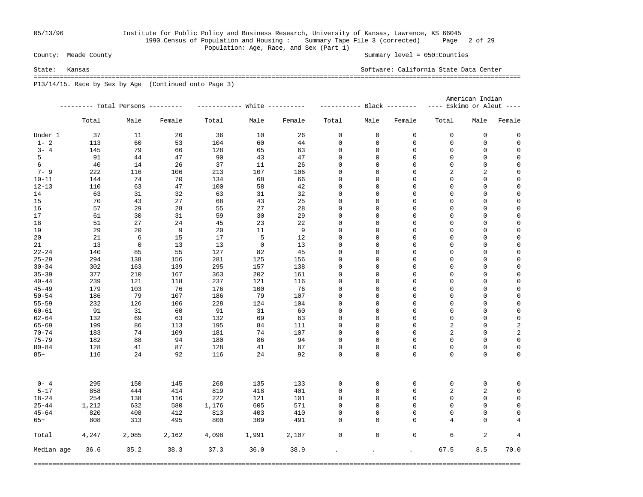## 05/13/96 Institute for Public Policy and Business Research, University of Kansas, Lawrence, KS 66045 1990 Census of Population and Housing : Summary Tape File 3 (corrected) Page 2 of 29 Population: Age, Race, and Sex (Part 1)<br>County: Meade County

Summary level =  $050$ : Counties

State: Kansas Software: California State Data Center ===================================================================================================================================

P13/14/15. Race by Sex by Age (Continued onto Page 3)

|            |       |                                   |        |                             |             |        |                            |             |                | American Indian             |                |                |  |
|------------|-------|-----------------------------------|--------|-----------------------------|-------------|--------|----------------------------|-------------|----------------|-----------------------------|----------------|----------------|--|
|            |       | --------- Total Persons --------- |        | ----------- White --------- |             |        | ----------- Black -------- |             |                | $---$ Eskimo or Aleut $---$ |                |                |  |
|            | Total | Male                              | Female | Total                       | Male        | Female | Total                      | Male        | Female         | Total                       | Male           | Female         |  |
| Under 1    | 37    | 11                                | 26     | 36                          | 10          | 26     | 0                          | $\mathbf 0$ | $\mathbf 0$    | $\mathbf 0$                 | 0              | 0              |  |
| $1 - 2$    | 113   | 60                                | 53     | 104                         | 60          | 44     | $\mathbf 0$                | 0           | $\mathbf 0$    | $\mathbf 0$                 | 0              | $\mathbf 0$    |  |
| $3 - 4$    | 145   | 79                                | 66     | 128                         | 65          | 63     | $\mathbf 0$                | $\mathsf 0$ | $\mathbf 0$    | $\mathbf 0$                 | $\mathsf 0$    | $\mathbf 0$    |  |
| 5          | 91    | 44                                | 47     | 90                          | 43          | 47     | 0                          | 0           | $\mathbf 0$    | $\mathbf 0$                 | 0              | $\mathbf 0$    |  |
| 6          | 40    | 14                                | 26     | 37                          | 11          | 26     | $\mathbf 0$                | 0           | $\mathbf 0$    | $\mathbf 0$                 | $\mathsf 0$    | $\mathbf 0$    |  |
| $7 - 9$    | 222   | 116                               | 106    | 213                         | 107         | 106    | 0                          | 0           | $\mathsf 0$    | 2                           | $\overline{a}$ | 0              |  |
| $10 - 11$  | 144   | 74                                | 70     | 134                         | 68          | 66     | 0                          | 0           | $\mathsf 0$    | $\mathbf 0$                 | 0              | 0              |  |
| $12 - 13$  | 110   | 63                                | 47     | 100                         | 58          | 42     | 0                          | 0           | $\mathbf 0$    | $\Omega$                    | 0              | $\mathbf 0$    |  |
| 14         | 63    | 31                                | 32     | 63                          | 31          | 32     | $\mathbf 0$                | 0           | $\overline{0}$ | $\mathbf 0$                 | $\mathbf 0$    | $\mathbf 0$    |  |
| 15         | 70    | 43                                | 27     | 68                          | 43          | 25     | $\mathbf 0$                | 0           | $\mathbf 0$    | $\mathbf 0$                 | $\mathbf 0$    | $\mathbf 0$    |  |
| 16         | 57    | 29                                | 28     | 55                          | 27          | 28     | 0                          | 0           | $\mathbf 0$    | $\mathbf 0$                 | 0              | $\mathbf 0$    |  |
| 17         | 61    | 30                                | 31     | 59                          | 30          | 29     | 0                          | 0           | $\mathbf 0$    | $\mathbf 0$                 | $\mathsf 0$    | $\mathbf 0$    |  |
| 18         | 51    | 27                                | 24     | 45                          | 23          | 22     | 0                          | 0           | $\mathsf 0$    | $\mathbf 0$                 | 0              | $\mathbf 0$    |  |
| 19         | 29    | 20                                | 9      | 20                          | 11          | 9      | $\mathbf 0$                | 0           | $\mathbf 0$    | $\mathbf 0$                 | 0              | $\mathbf 0$    |  |
| 20         | 21    | 6                                 | 15     | 17                          | 5           | 12     | 0                          | 0           | $\mathbf 0$    | $\mathbf 0$                 | $\mathsf 0$    | $\mathbf 0$    |  |
| 21         | 13    | $\mathbf 0$                       | 13     | 13                          | $\mathbf 0$ | 13     | $\mathbf 0$                | 0           | $\overline{0}$ | $\mathbf 0$                 | $\mathsf 0$    | $\mathbf 0$    |  |
| $22 - 24$  | 140   | 85                                | 55     | 127                         | 82          | 45     | 0                          | 0           | $\mathbf 0$    | $\mathbf 0$                 | $\mathsf 0$    | $\mathbf 0$    |  |
| $25 - 29$  | 294   | 138                               | 156    | 281                         | 125         | 156    | 0                          | 0           | $\mathbf 0$    | $\mathbf 0$                 | $\mathsf 0$    | $\mathbf 0$    |  |
| $30 - 34$  | 302   | 163                               | 139    | 295                         | 157         | 138    | 0                          | 0           | $\mathbf 0$    | $\mathbf 0$                 | 0              | $\mathbf 0$    |  |
| $35 - 39$  | 377   | 210                               | 167    | 363                         | 202         | 161    | 0                          | 0           | $\mathbf 0$    | $\mathbf 0$                 | 0              | $\mathbf 0$    |  |
| $40 - 44$  | 239   | 121                               | 118    | 237                         | 121         | 116    | 0                          | $\mathbf 0$ | $\mathbf 0$    | $\Omega$                    | $\mathsf 0$    | $\mathbf 0$    |  |
| $45 - 49$  |       |                                   | 76     | 176                         | 100         | 76     | $\mathbf 0$                | 0           | $\mathbf 0$    | $\mathbf 0$                 | $\mathsf 0$    | $\mathbf 0$    |  |
|            | 179   | 103                               |        |                             |             |        |                            |             |                |                             |                |                |  |
| $50 - 54$  | 186   | 79                                | 107    | 186                         | 79          | 107    | 0                          | 0           | $\mathbf 0$    | $\mathbf 0$                 | 0              | $\mathbf 0$    |  |
| $55 - 59$  | 232   | 126                               | 106    | 228                         | 124         | 104    | 0                          | 0           | $\mathbf 0$    | $\mathbf 0$                 | $\mathsf 0$    | $\mathbf 0$    |  |
| $60 - 61$  | 91    | 31                                | 60     | 91                          | 31          | 60     | 0                          | 0           | $\mathbf 0$    | $\mathbf 0$                 | 0              | $\mathbf 0$    |  |
| $62 - 64$  | 132   | 69                                | 63     | 132                         | 69          | 63     | 0                          | 0           | $\mathbf 0$    | 0                           | $\mathsf 0$    | 0              |  |
| $65 - 69$  | 199   | 86                                | 113    | 195                         | 84          | 111    | $\mathbf 0$                | $\mathbf 0$ | $\Omega$       | $\overline{2}$              | $\mathsf 0$    | 2              |  |
| $70 - 74$  | 183   | 74                                | 109    | 181                         | 74          | 107    | $\mathbf 0$                | $\mathbf 0$ | $\mathbf 0$    | $\overline{2}$              | $\mathsf 0$    | $\overline{c}$ |  |
| $75 - 79$  | 182   | 88                                | 94     | 180                         | 86          | 94     | $\mathbf 0$                | 0           | $\mathbf 0$    | $\Omega$                    | 0              | $\mathbf 0$    |  |
| $80 - 84$  | 128   | 41                                | 87     | 128                         | 41          | 87     | $\mathbf 0$                | 0           | $\mathbf 0$    | $\mathbf 0$                 | $\mathsf 0$    | $\mathbf 0$    |  |
| $85+$      | 116   | 24                                | 92     | 116                         | 24          | 92     | $\Omega$                   | $\Omega$    | $\Omega$       | $\Omega$                    | $\Omega$       | 0              |  |
| $0 - 4$    | 295   | 150                               | 145    | 268                         | 135         | 133    | $\mathbf 0$                | 0           | 0              | $\mathbf 0$                 | $\mathsf 0$    | $\mathbf 0$    |  |
| $5 - 17$   | 858   | 444                               | 414    | 819                         | 418         | 401    | $\mathbf 0$                | $\mathsf 0$ | $\overline{0}$ | $\sqrt{2}$                  | $\sqrt{2}$     | $\mathbf 0$    |  |
| $18 - 24$  | 254   | 138                               | 116    | 222                         | 121         | 101    | 0                          | 0           | $\mathbf 0$    | $\mathbf 0$                 | $\mathbf 0$    | $\mathbf 0$    |  |
| $25 - 44$  | 1,212 | 632                               | 580    | 1,176                       | 605         | 571    | $\mathbf 0$                | 0           | $\mathbf 0$    | $\mathbf 0$                 | $\mathsf 0$    | $\mathbf 0$    |  |
| $45 - 64$  | 820   | 408                               | 412    | 813                         | 403         | 410    | $\Omega$                   | 0           | $\Omega$       | $\Omega$                    | $\mathbf 0$    | $\mathbf 0$    |  |
| $65+$      | 808   | 313                               | 495    | 800                         | 309         | 491    | $\Omega$                   | $\mathbf 0$ | $\mathbf 0$    | 4                           | $\mathbf 0$    | $\overline{4}$ |  |
| Total      | 4,247 | 2,085                             | 2,162  | 4,098                       | 1,991       | 2,107  | 0                          | $\mathbf 0$ | $\mathsf 0$    | 6                           | 2              | 4              |  |
| Median age | 36.6  | 35.2                              | 38.3   | 37.3                        | 36.0        | 38.9   |                            | $\bullet$   |                | 67.5                        | 8.5            | 70.0           |  |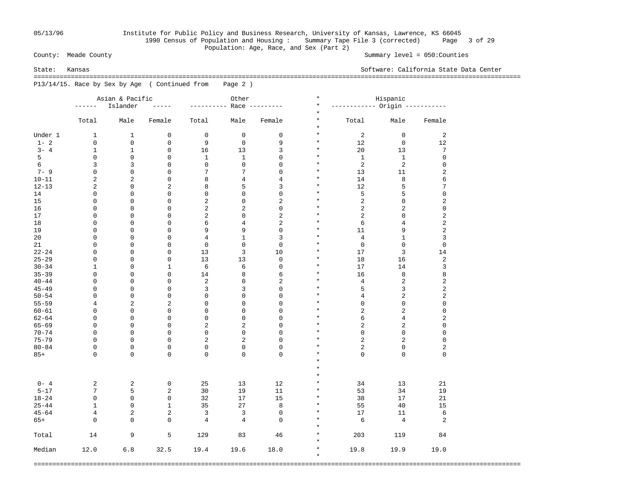## 05/13/96 Institute for Public Policy and Business Research, University of Kansas, Lawrence, KS 66045 1990 Census of Population and Housing : Summary Tape File 3 (corrected) Page 3 of 29 Population: Age, Race, and Sex (Part 2)<br>County: Meade County

Summary level =  $050$ : Counties

 =================================================================================================================================== P13/14/15. Race by Sex by Age ( Continued from Page 2 )

|           |                | Asian & Pacific |                | Other          |                |                | $\star$            | Hispanic                       |                         |                     |
|-----------|----------------|-----------------|----------------|----------------|----------------|----------------|--------------------|--------------------------------|-------------------------|---------------------|
|           | ------         | Islander        | $- - - - -$    | -------        |                | Race --------- | $\star$            | ----------- Origin ----------- |                         |                     |
|           |                |                 |                |                |                |                | $\star$            |                                |                         |                     |
|           | Total          | Male            | Female         | Total          | Male           | Female         | $\star$<br>$\star$ | Total                          | Male                    | Female              |
| Under 1   | $\mathbf{1}$   | $\mathbf{1}$    | $\mathbf 0$    | $\mathbf 0$    | $\mathbf 0$    | $\mathsf 0$    | $\star$            | 2                              | $\mathbf 0$             | 2                   |
| $1 - 2$   | $\mathbf 0$    | $\mathbf 0$     | $\mathbf 0$    | 9              | $\mathbf 0$    | 9              | $\star$            | 12                             | $\mathbf 0$             | 12                  |
| $3 - 4$   | $\mathbf{1}$   | $\mathbf{1}$    | $\mathbf 0$    | 16             | 13             | 3              | $\star$            | 20                             | 13                      | 7                   |
| 5         | $\mathbf 0$    | 0               | $\mathbf 0$    | $\mathbf{1}$   | $\mathbf 1$    | $\mathbf 0$    | $\star$            | $\mathbf{1}$                   | $\mathbf{1}$            | $\mathsf 0$         |
| 6         | 3              | 3               | $\mathbf 0$    | $\mathbf 0$    | $\mathbf 0$    | $\mathbf 0$    | $\star$            | 2                              | 2                       | $\mathsf 0$         |
| $7 - 9$   | $\mathbf 0$    | 0               | $\mathbf 0$    | 7              | 7              | $\mathbf 0$    | $\star$            | 13                             | 11                      | $\overline{c}$      |
| $10 - 11$ | $\overline{a}$ | 2               | $\mathbf 0$    | 8              | $\overline{4}$ | $\overline{4}$ | $\star$            | 14                             | 8                       | 6                   |
| $12 - 13$ | $\overline{a}$ | 0               | $\overline{2}$ | 8              | 5              | 3              | $\star$            | 12                             | 5                       | 7                   |
|           | $\mathbf 0$    | $\mathbf 0$     | $\mathbf 0$    | $\mathsf 0$    | $\mathbf 0$    | $\mathbf 0$    | $\star$            | 5                              | 5                       | $\mathsf 0$         |
| 14        |                |                 |                |                |                |                | $\star$            |                                |                         |                     |
| 15        | $\mathbf 0$    | $\mathbf 0$     | $\mathbf 0$    | $\sqrt{2}$     | $\mathbf 0$    | $\overline{2}$ | $\star$            | $\overline{2}$                 | $\mathbf 0$             | $\overline{c}$      |
| 16        | $\mathbf 0$    | $\mathbf 0$     | $\mathbf 0$    | $\sqrt{2}$     | $\overline{a}$ | $\mathbf 0$    |                    | $\sqrt{2}$                     | 2                       | $\mathsf{O}\xspace$ |
| 17        | $\mathbf 0$    | $\mathbf 0$     | $\mathbf 0$    | $\sqrt{2}$     | $\mathbf 0$    | $\overline{2}$ | $\star$            | $\overline{2}$                 | $\mathbf 0$             | $\overline{c}$      |
| 18        | 0              | $\mathbf 0$     | $\mathbf 0$    | 6              | $\overline{4}$ | $\overline{2}$ | $\star$            | 6                              | $\,4$                   | $\sqrt{2}$          |
| 19        | 0              | $\mathbf 0$     | $\mathbf 0$    | 9              | 9              | $\mathbf 0$    | $\star$            | 11                             | 9                       | $\overline{c}$      |
| 20        | 0              | $\mathbf 0$     | $\mathbf 0$    | $\overline{4}$ | $\mathbf{1}$   | 3              | $\star$            | $\overline{4}$                 | $\mathbf{1}$            | 3                   |
| 21        | $\mathbf 0$    | $\mathbf 0$     | $\mathbf 0$    | $\mathsf 0$    | $\mathbf 0$    | $\mathbf 0$    | $\star$            | $\mathbf 0$                    | $\mathbf 0$             | $\mathsf 0$         |
| $22 - 24$ | $\mathbf 0$    | $\mathbf 0$     | $\mathbf 0$    | 13             | 3              | 10             | $\star$            | 17                             | 3                       | 14                  |
| $25 - 29$ | $\mathbf 0$    | $\mathbf 0$     | $\mathbf 0$    | 13             | 13             | $\mathbf 0$    | $\star$            | 18                             | 16                      | $\overline{c}$      |
| $30 - 34$ | $\mathbf 1$    | $\mathbf 0$     | $\mathbf{1}$   | 6              | 6              | $\mathbf 0$    | $\star$            | 17                             | 14                      | 3                   |
| $35 - 39$ | 0              | $\mathbf 0$     | $\mathbf 0$    | 14             | 8              | $\epsilon$     | $\star$            | 16                             | 8                       | 8                   |
| $40 - 44$ | 0              | $\mathbf 0$     | $\mathbf 0$    | $\overline{2}$ | $\mathsf 0$    | $\overline{2}$ | $\star$            | $\,4$                          | 2                       | $\overline{c}$      |
| $45 - 49$ | $\mathbf 0$    | $\mathbf 0$     | $\mathbf 0$    | 3              | 3              | $\mathbf 0$    | $\star$            | 5                              | 3                       | $\overline{c}$      |
| $50 - 54$ | $\mathbf 0$    | $\mathbf 0$     | $\mathsf 0$    | $\mathsf 0$    | $\mathbf 0$    | $\mathbf 0$    | $\star$            | 4                              | $\overline{\mathbf{c}}$ | $\overline{c}$      |
| $55 - 59$ | 4              | $\overline{2}$  | $\overline{2}$ | $\mathsf 0$    | $\mathbf 0$    | $\mathbf 0$    | $\star$            | $\mathsf 0$                    | $\mathsf 0$             | $\mathsf 0$         |
| $60 - 61$ | 0              | $\mathbf 0$     | $\mathsf 0$    | $\mathsf 0$    | $\mathbf 0$    | $\mathbf 0$    | $\star$            | $\overline{2}$                 | $\overline{a}$          | $\mathsf{O}\xspace$ |
| $62 - 64$ | 0              | $\mathbf 0$     | $\mathbf 0$    | $\mathsf 0$    | $\mathbf 0$    | $\mathbf 0$    | $\star$            | 6                              | $\overline{4}$          | $\overline{c}$      |
| $65 - 69$ | $\mathbf 0$    | $\mathbf 0$     | $\mathsf 0$    | $\overline{2}$ | $\overline{a}$ | $\mathbf 0$    | $\star$            | $\overline{2}$                 | $\overline{\mathbf{c}}$ | $\mathsf 0$         |
| $70 - 74$ | $\mathbf 0$    | $\mathbf 0$     | $\mathbf 0$    | $\mathsf 0$    | $\mathbf 0$    | $\mathbf 0$    | $\star$            | $\mathsf 0$                    | 0                       | $\mathsf 0$         |
| $75 - 79$ | $\mathbf 0$    | $\mathbf 0$     | $\mathsf 0$    | $\overline{2}$ | $\overline{a}$ | $\mathbf 0$    | $\star$            | $\overline{2}$                 | $\overline{a}$          | $\mathsf 0$         |
| $80 - 84$ | 0              | $\mathbf 0$     | $\mathsf 0$    | $\mathsf 0$    | $\mathbf 0$    | $\mathbf 0$    | $\star$            | $\overline{2}$                 | $\mathsf 0$             | $\overline{c}$      |
|           | $\Omega$       | $\mathbf 0$     | $\mathbf 0$    | 0              | $\mathbf 0$    | $\mathbf 0$    | $\star$            | $\mathbf 0$                    | $\mathbf 0$             | $\mathbf 0$         |
| $85+$     |                |                 |                |                |                |                | $\star$            |                                |                         |                     |
|           |                |                 |                |                |                |                | $\star$            |                                |                         |                     |
|           |                |                 |                |                |                |                | $\star$            |                                |                         |                     |
|           |                |                 |                |                |                |                |                    |                                |                         |                     |
| $0 - 4$   | 2              | 2               | 0              | 25             | 13             | 12             | $\star$            | 34                             | 13                      | 21                  |
| $5 - 17$  | 7              | 5               | 2              | 30             | 19             | 11             | $\star$            | 53                             | 34                      | 19                  |
| $18 - 24$ | 0              | 0               | $\mathbf 0$    | 32             | 17             | 15             | $\star$            | 38                             | 17                      | 21                  |
| $25 - 44$ | $\mathbf{1}$   | 0               | $\mathbf{1}$   | 35             | 27             | $\,8\,$        | $\star$            | 55                             | 40                      | 15                  |
| $45 - 64$ | 4              | 2               | 2              | 3              | 3              | $\mathbf 0$    | $\star$            | 17                             | 11                      | 6                   |
| $65+$     | $\mathbf 0$    | 0               | $\mathbf 0$    | 4              | $\overline{4}$ | $\mathbf 0$    | $\star$            | 6                              | 4                       | 2                   |
|           |                |                 |                |                |                |                | $\star$            |                                |                         |                     |
| Total     | 14             | 9               | 5              | 129            | 83             | 46             | $\star$            | 203                            | 119                     | 84                  |
|           |                |                 |                |                |                |                | $\star$            |                                |                         |                     |
| Median    | 12.0           | 6.8             | 32.5           | 19.4           | 19.6           | 18.0           | $\star$            | 19.8                           | 19.9                    | 19.0                |
|           |                |                 |                |                |                |                | $\star$            |                                |                         |                     |

===================================================================================================================================

State: Kansas Software: California State Data Center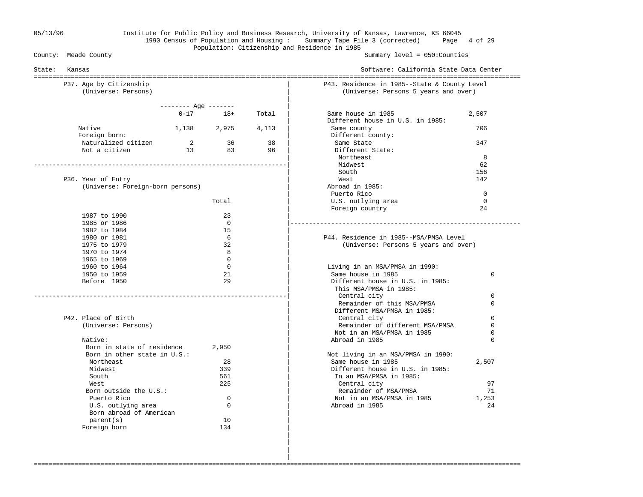## 05/13/96 Institute for Public Policy and Business Research, University of Kansas, Lawrence, KS 66045 1990 Census of Population and Housing : Summary Tape File 3 (corrected) Page 4 of 29 Population: Citizenship and Residence in 1985<br>County: Meade County

Summary level =  $050$ : Counties

| P37. Age by Citizenship<br>(Universe: Persons) |                            |              |       | P43. Residence in 1985--State & County Level<br>(Universe: Persons 5 years and over) |             |
|------------------------------------------------|----------------------------|--------------|-------|--------------------------------------------------------------------------------------|-------------|
|                                                | $------$ Age -------       |              |       |                                                                                      |             |
|                                                |                            | $0 - 17$ 18+ | Total | Same house in 1985                                                                   | 2,507       |
|                                                |                            |              |       | Different house in U.S. in 1985:                                                     |             |
| Native                                         | 1,138 2,975                |              | 4,113 | Same county                                                                          | 706         |
| Foreign born:                                  |                            |              |       | Different county:                                                                    |             |
| Naturalized citizen                            | $\overline{\phantom{a}}$ 2 | 36           | 38    | Same State                                                                           | 347         |
| Not a citizen                                  | 13                         | 83           | 96    | Different State:                                                                     |             |
|                                                |                            |              |       | Northeast                                                                            | 8           |
|                                                |                            |              |       | Midwest                                                                              | 62          |
|                                                |                            |              |       | South                                                                                | 156         |
| P36. Year of Entry                             |                            |              |       | West                                                                                 | 142         |
| (Universe: Foreign-born persons)               |                            |              |       | Abroad in 1985:                                                                      |             |
|                                                |                            |              |       | Puerto Rico                                                                          | $\mathbf 0$ |
|                                                |                            | Total        |       | U.S. outlying area                                                                   | $\mathbf 0$ |
|                                                |                            | 23           |       | Foreign country                                                                      | 24          |
| 1987 to 1990<br>1985 or 1986                   |                            | $\Omega$     |       |                                                                                      |             |
| 1982 to 1984                                   |                            | 15           |       |                                                                                      |             |
| 1980 or 1981                                   |                            | 6            |       | P44. Residence in 1985--MSA/PMSA Level                                               |             |
| 1975 to 1979                                   |                            | 32           |       | (Universe: Persons 5 years and over)                                                 |             |
| 1970 to 1974                                   |                            | 8            |       |                                                                                      |             |
| 1965 to 1969                                   |                            | $\Omega$     |       |                                                                                      |             |
| 1960 to 1964                                   |                            | $\Omega$     |       | Living in an MSA/PMSA in 1990:                                                       |             |
| 1950 to 1959                                   |                            | 21           |       | Same house in 1985                                                                   | 0           |
| Before 1950                                    |                            | 29           |       | Different house in U.S. in 1985:                                                     |             |
|                                                |                            |              |       | This MSA/PMSA in 1985:                                                               |             |
|                                                |                            |              |       | Central city                                                                         | $\Omega$    |
|                                                |                            |              |       | Remainder of this MSA/PMSA                                                           | $\Omega$    |
|                                                |                            |              |       | Different MSA/PMSA in 1985:                                                          |             |
| P42. Place of Birth                            |                            |              |       | Central city                                                                         | 0           |
| (Universe: Persons)                            |                            |              |       | Remainder of different MSA/PMSA                                                      | $\mathbf 0$ |
|                                                |                            |              |       | Not in an MSA/PMSA in 1985                                                           | 0           |
| Native:                                        |                            |              |       | Abroad in 1985                                                                       | $\Omega$    |
| Born in state of residence                     |                            | 2,950        |       |                                                                                      |             |
| Born in other state in U.S.:                   |                            |              |       | Not living in an MSA/PMSA in 1990:                                                   |             |
| Northeast                                      |                            | 28           |       | Same house in 1985                                                                   | 2,507       |
| Midwest                                        |                            | 339          |       | Different house in U.S. in 1985:                                                     |             |
| South                                          |                            | 561          |       | In an MSA/PMSA in 1985:                                                              |             |
| West<br>Born outside the U.S.:                 |                            | 225          |       | Central city<br>Remainder of MSA/PMSA                                                | 97<br>71    |
| Puerto Rico                                    |                            | $\Omega$     |       | Not in an MSA/PMSA in 1985                                                           | 1,253       |
| U.S. outlying area                             |                            | $\Omega$     |       | Abroad in 1985                                                                       | 24          |
| Born abroad of American                        |                            |              |       |                                                                                      |             |
| parent(s)                                      |                            | 10           |       |                                                                                      |             |
| Foreign born                                   |                            | 134          |       |                                                                                      |             |
|                                                |                            |              |       |                                                                                      |             |

===================================================================================================================================

 | |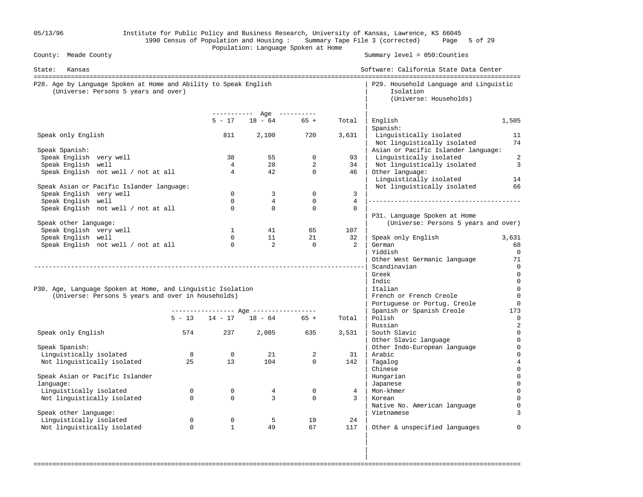| 05/13/96                                                                                                 |             |                      | Population: Language Spoken at Home     |                      |                            | Institute for Public Policy and Business Research, University of Kansas, Lawrence, KS 66045<br>1990 Census of Population and Housing: Summary Tape File 3 (corrected) Page 5 of 29 |                       |
|----------------------------------------------------------------------------------------------------------|-------------|----------------------|-----------------------------------------|----------------------|----------------------------|------------------------------------------------------------------------------------------------------------------------------------------------------------------------------------|-----------------------|
| County: Meade County                                                                                     |             |                      |                                         |                      |                            | Summary $level = 050$ : Counties                                                                                                                                                   |                       |
| State:<br>Kansas                                                                                         |             |                      |                                         |                      |                            | Software: California State Data Center                                                                                                                                             |                       |
| P28. Age by Language Spoken at Home and Ability to Speak English<br>(Universe: Persons 5 years and over) |             |                      |                                         |                      |                            | P29. Household Language and Linguistic<br>Isolation<br>(Universe: Households)                                                                                                      |                       |
|                                                                                                          |             | $5 - 17$             | ----------- Age ----------<br>$18 - 64$ | $65 +$               | Total                      | English                                                                                                                                                                            | 1,505                 |
|                                                                                                          |             |                      |                                         |                      |                            | Spanish:                                                                                                                                                                           |                       |
| Speak only English                                                                                       |             | 811                  | 2,100                                   | 720                  | 3,631                      | Linguistically isolated<br>Not linguistically isolated                                                                                                                             | 11<br>74              |
| Speak Spanish:<br>Speak English very well                                                                |             | 38                   | 55                                      | $\mathsf{O}$         | 93                         | Asian or Pacific Islander language:<br>Linguistically isolated                                                                                                                     | $\overline{c}$        |
| Speak English well                                                                                       |             | $\overline{4}$       | 28                                      | $\overline{2}$       | 34                         | Not linguistically isolated                                                                                                                                                        | $\overline{3}$        |
| Speak English not well / not at all                                                                      |             | $\overline{4}$       | 42                                      | $\Omega$             | 46                         | Other language:<br>Linguistically isolated                                                                                                                                         | 14                    |
| Speak Asian or Pacific Islander language:                                                                |             |                      |                                         |                      |                            | Not linguistically isolated                                                                                                                                                        | 66                    |
| Speak English very well                                                                                  |             | $\Omega$             | 3                                       | $\Omega$             | 3                          |                                                                                                                                                                                    |                       |
| Speak English well<br>Speak English not well / not at all                                                |             | $\Omega$<br>$\Omega$ | $4\overline{ }$<br>$\Omega$             | $\Omega$<br>$\Omega$ | $\overline{4}$<br>$\Omega$ |                                                                                                                                                                                    |                       |
|                                                                                                          |             |                      |                                         |                      |                            | P31. Language Spoken at Home                                                                                                                                                       |                       |
| Speak other language:                                                                                    |             |                      |                                         |                      |                            | (Universe: Persons 5 years and over)                                                                                                                                               |                       |
| Speak English very well                                                                                  |             | $\mathbf{1}$         | 41                                      | 65                   | 107                        |                                                                                                                                                                                    |                       |
| Speak English well                                                                                       |             | $\Omega$             | 11                                      | 21                   | 32                         | Speak only English                                                                                                                                                                 | 3,631                 |
| Speak English not well / not at all                                                                      |             | $\overline{0}$       | $\overline{2}$                          | $\mathbf{0}$         | 2                          | German                                                                                                                                                                             | 68                    |
|                                                                                                          |             |                      |                                         |                      |                            | Yiddish<br>Other West Germanic language                                                                                                                                            | 0<br>71               |
|                                                                                                          |             |                      |                                         |                      |                            | Scandinavian                                                                                                                                                                       | $\overline{0}$        |
|                                                                                                          |             |                      |                                         |                      |                            | Greek                                                                                                                                                                              | $\overline{0}$        |
|                                                                                                          |             |                      |                                         |                      |                            | Indic                                                                                                                                                                              | $\overline{0}$        |
| P30. Age, Language Spoken at Home, and Linguistic Isolation                                              |             |                      |                                         |                      |                            | Italian                                                                                                                                                                            | $\mathbf 0$           |
| (Universe: Persons 5 years and over in households)                                                       |             |                      |                                         |                      |                            | French or French Creole                                                                                                                                                            | $\mathbf 0$           |
|                                                                                                          |             |                      |                                         |                      |                            | Portuguese or Portug. Creole<br>Spanish or Spanish Creole                                                                                                                          | $\overline{0}$<br>173 |
|                                                                                                          |             |                      | $5 - 13$ $14 - 17$ $18 - 64$ $65 +$     |                      | Total                      | Polish                                                                                                                                                                             | $\mathbf 0$           |
|                                                                                                          |             |                      |                                         |                      |                            | Russian                                                                                                                                                                            | $\overline{c}$        |
| Speak only English                                                                                       | 574         | 237                  | 2,085                                   | 635                  | 3,531                      | South Slavic                                                                                                                                                                       | $\mathbf 0$           |
|                                                                                                          |             |                      |                                         |                      |                            | Other Slavic language                                                                                                                                                              | 0                     |
| Speak Spanish:                                                                                           |             |                      |                                         |                      |                            | Other Indo-European language                                                                                                                                                       | 0                     |
| Linguistically isolated<br>Not linguistically isolated                                                   | 8<br>25     | $\overline{0}$<br>13 | 21<br>104                               | 2<br>$\mathbf{0}$    | 31<br>142                  | Arabic<br>Tagalog                                                                                                                                                                  |                       |
|                                                                                                          |             |                      |                                         |                      |                            | Chinese                                                                                                                                                                            |                       |
| Speak Asian or Pacific Islander                                                                          |             |                      |                                         |                      |                            | Hungarian                                                                                                                                                                          |                       |
| language:                                                                                                |             |                      |                                         |                      |                            | Japanese                                                                                                                                                                           | $\Omega$              |
| Linguistically isolated                                                                                  | $\mathbf 0$ | $\mathsf{O}$         | $\overline{4}$                          | $\mathsf{O}$         | 4                          | Mon-khmer                                                                                                                                                                          |                       |
| Not linguistically isolated                                                                              | $\mathbf 0$ | $\mathbf 0$          | $\overline{3}$                          | $\mathbf 0$          | $\mathbf{3}$               | Korean                                                                                                                                                                             |                       |
|                                                                                                          |             |                      |                                         |                      |                            | Native No. American language<br>Vietnamese                                                                                                                                         |                       |
| Speak other language:<br>Linguistically isolated                                                         | $\mathbf 0$ | $\mathsf{O}$         | 5                                       | 19                   | 24                         |                                                                                                                                                                                    |                       |
| Not linguistically isolated                                                                              | $\Omega$    | $\mathbf{1}$         | 49                                      | 67                   | 117                        | Other & unspecified languages                                                                                                                                                      | $\Omega$              |
|                                                                                                          |             |                      |                                         |                      |                            |                                                                                                                                                                                    |                       |
|                                                                                                          |             |                      |                                         |                      |                            |                                                                                                                                                                                    |                       |

===================================================================================================================================

in the contract of the contract of the contract of the contract of the contract of the contract of the contract in the contract of the contract of the contract of the contract of the contract of the contract of the contract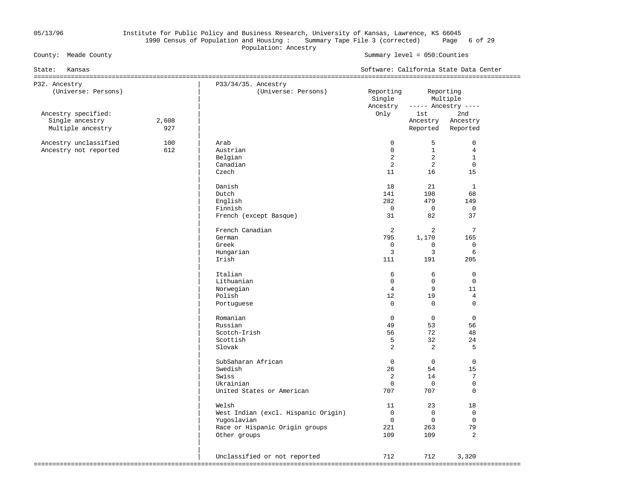## 05/13/96 Institute for Public Policy and Business Research, University of Kansas, Lawrence, KS 66045 1990 Census of Population and Housing : Summary Tape File 3 (corrected) Page 6 of 29 Population: Ancestry<br>
Population: Ancestry<br>
Population: Ancestry

| State: Kansas                          |       |                                     |                     |                      | Software: California State Data Center |  |
|----------------------------------------|-------|-------------------------------------|---------------------|----------------------|----------------------------------------|--|
| P32. Ancestry                          |       | P33/34/35. Ancestry                 |                     |                      |                                        |  |
| (Universe: Persons)                    |       | (Universe: Persons)                 | Reporting<br>Single | Reporting            | Multiple                               |  |
|                                        |       |                                     | Ancestry            |                      | $---$ Ancestry $---$                   |  |
| Ancestry specified:<br>Single ancestry | 2,608 |                                     | Only                | 1st i                | 2nd<br>Ancestry                        |  |
| Multiple ancestry                      | 927   |                                     |                     | Ancestry<br>Reported | Reported                               |  |
| Ancestry unclassified                  | 100   | Arab                                | $\mathbf 0$         | 5                    | $\mathbf 0$                            |  |
| Ancestry not reported                  | 612   | Austrian                            | $\mathbf 0$         | $\mathbf{1}$         | $\overline{4}$                         |  |
|                                        |       | Belgian                             | $\overline{a}$      | 2                    | $\mathbf{1}$                           |  |
|                                        |       | Canadian                            | $\overline{2}$      | $\overline{a}$       | $\mathbf 0$                            |  |
|                                        |       | Czech                               | 11                  | 16                   | 15                                     |  |
|                                        |       | Danish                              | 18                  | 21                   | $\mathbf{1}$                           |  |
|                                        |       | Dutch                               | 141                 | 198                  | 68                                     |  |
|                                        |       | English                             | 282                 | 479                  | 149                                    |  |
|                                        |       | Finnish                             | $\mathbf 0$         | $\overline{0}$       | $\mathbf 0$                            |  |
|                                        |       | French (except Basque)              | 31                  | 82                   | 37                                     |  |
|                                        |       | French Canadian                     | 2                   | 2                    | 7                                      |  |
|                                        |       | German                              | 795                 | 1,170                | 165                                    |  |
|                                        |       | Greek                               | $\mathbf 0$         | $\mathbf{0}$         | $\mathbf 0$                            |  |
|                                        |       | Hungarian                           | 3                   | 3                    | 6                                      |  |
|                                        |       | Irish                               | 111                 | 191                  | 205                                    |  |
|                                        |       | Italian                             | 6                   | 6                    | $\mathbf 0$                            |  |
|                                        |       | Lithuanian                          | $\Omega$            | $\Omega$             | $\Omega$                               |  |
|                                        |       | Norwegian                           | $\overline{4}$      | 9                    | 11                                     |  |
|                                        |       | Polish                              | 12                  | 19                   | $\overline{4}$                         |  |
|                                        |       | Portuguese                          | $\mathbf 0$         | $\mathbf 0$          | $\mathbf 0$                            |  |
|                                        |       | Romanian                            | $\mathbf 0$         | $\Omega$             | $\Omega$                               |  |
|                                        |       | Russian                             | 49                  | 53                   | 56                                     |  |
|                                        |       | Scotch-Irish                        | 56                  | 72                   | 48                                     |  |
|                                        |       | Scottish                            | 5                   | 32                   | 24                                     |  |
|                                        |       | Slovak                              | $\overline{2}$      | 2                    | 5                                      |  |
|                                        |       | SubSaharan African                  | $\Omega$            | $\Omega$             | $\Omega$                               |  |
|                                        |       | Swedish                             | 26                  | 54                   | 15                                     |  |
|                                        |       | Swiss                               | 2                   | 14                   | $7\phantom{.0}$                        |  |
|                                        |       | Ukrainian                           | $\mathbf 0$         | $\mathbf 0$          | $\mathbf 0$                            |  |
|                                        |       | United States or American           | 707                 | 707                  | $\Omega$                               |  |
|                                        |       | Welsh                               | 11                  | 23                   | 18                                     |  |
|                                        |       | West Indian (excl. Hispanic Origin) | $\overline{0}$      | $\mathbf 0$          | $\mathbf 0$                            |  |
|                                        |       | Yugoslavian                         | $\overline{0}$      | $\mathbf 0$          | $\mathbf 0$                            |  |
|                                        |       | Race or Hispanic Origin groups      | 221                 | 263                  | 79                                     |  |
|                                        |       | Other groups                        | 109                 | 109                  | 2                                      |  |
|                                        |       |                                     |                     |                      |                                        |  |
|                                        |       | Unclassified or not reported        | 712                 | 712                  | 3,320                                  |  |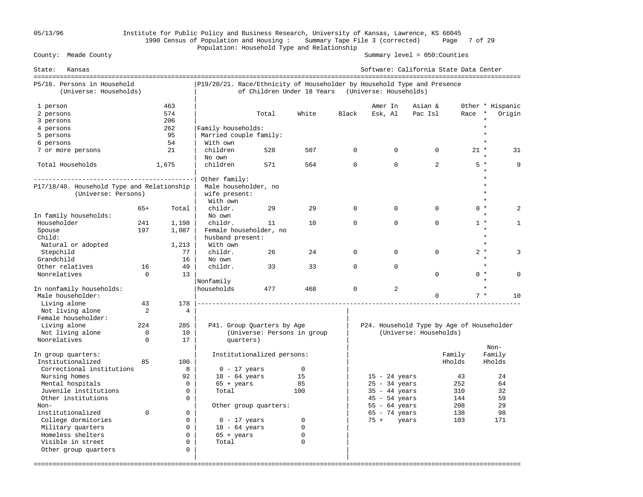## 05/13/96 Institute for Public Policy and Business Research, University of Kansas, Lawrence, KS 66045 1990 Census of Population and Housing : Summary Tape File 3 (corrected) Page 7 of 29 Population: Household Type and Relationship

| Kansas<br>State:                                      |             |                   |                                                                         |                             |              |              | Software: California State Data Center            |                        |        |                                       |
|-------------------------------------------------------|-------------|-------------------|-------------------------------------------------------------------------|-----------------------------|--------------|--------------|---------------------------------------------------|------------------------|--------|---------------------------------------|
| P5/16. Persons in Household<br>(Universe: Households) |             |                   | P19/20/21. Race/Ethnicity of Householder by Household Type and Presence |                             |              |              | of Children Under 18 Years (Universe: Households) |                        |        |                                       |
| 1 person<br>2 persons                                 |             | 463<br>574<br>206 |                                                                         | Total                       | White        | Black        | Amer In<br>Esk, Al                                | Asian &<br>Pac Isl     | Race   | Other * Hispanic<br>Origin<br>$\star$ |
| 3 persons<br>4 persons                                |             | 262               | Family households:                                                      |                             |              |              |                                                   |                        |        |                                       |
| 5 persons                                             |             | 95                | Married couple family:                                                  |                             |              |              |                                                   |                        |        |                                       |
| 6 persons                                             |             | 54                | With own                                                                |                             |              |              |                                                   |                        |        |                                       |
| 7 or more persons                                     |             | 21                | children                                                                | 528                         | 507          | $\mathbf{0}$ | $\mathbf 0$                                       | 0                      | $21 *$ | 31                                    |
|                                                       |             |                   | No own                                                                  |                             |              |              |                                                   |                        |        |                                       |
| Total Households                                      |             | 1,675             | children                                                                | 571                         | 564          | $\Omega$     | $\Omega$                                          | $\overline{2}$         | $5*$   | 9                                     |
|                                                       |             |                   | Other family:                                                           |                             |              |              |                                                   |                        |        |                                       |
| P17/18/40. Household Type and Relationship            |             |                   | Male householder, no                                                    |                             |              |              |                                                   |                        |        |                                       |
| (Universe: Persons)                                   |             |                   | wife present:                                                           |                             |              |              |                                                   |                        |        |                                       |
|                                                       |             |                   | With own                                                                |                             |              |              |                                                   |                        |        |                                       |
|                                                       | $65+$       | Total             | childr.<br>No own                                                       | 29                          | 29           | $\Omega$     | $\Omega$                                          | $\Omega$               | $0 *$  | $\overline{a}$                        |
| In family households:<br>Householder                  | 241         |                   | childr.                                                                 | 11                          | 10           | $\mathbf{0}$ | $\mathbf 0$                                       | $\Omega$               | $1 *$  | 1                                     |
| Spouse                                                | 197         | 1,198<br>1,087    | Female householder, no                                                  |                             |              |              |                                                   |                        |        |                                       |
| Child:                                                |             |                   | husband present:                                                        |                             |              |              |                                                   |                        |        | $\star$                               |
| Natural or adopted                                    |             | 1,213             | With own                                                                |                             |              |              |                                                   |                        |        |                                       |
| Stepchild                                             |             | 77                | childr.                                                                 | 26                          | 24           | $\mathbf{0}$ | $\mathbf 0$                                       | $\Omega$               | $2 *$  | 3                                     |
| Grandchild                                            |             | 16                | No own                                                                  |                             |              |              |                                                   |                        |        | $\star$                               |
| Other relatives                                       | 16          | 49                | childr.                                                                 | 33                          | 33           | $\Omega$     | $\Omega$                                          |                        |        | $\star$                               |
| Nonrelatives                                          | $\mathbf 0$ | 13                |                                                                         |                             |              |              |                                                   | $\Omega$               | $0 *$  | $\Omega$                              |
|                                                       |             |                   | Nonfamily                                                               |                             |              |              |                                                   |                        |        |                                       |
| In nonfamily households:<br>Male householder:         |             |                   | Ihouseholds                                                             | 477                         | 468          | $\Omega$     | $\overline{a}$                                    | $\Omega$               | $7 *$  | 10                                    |
| Living alone                                          | 43          | 178               |                                                                         |                             |              |              |                                                   |                        |        |                                       |
| Not living alone                                      | 2           | 4                 |                                                                         |                             |              |              |                                                   |                        |        |                                       |
| Female householder:                                   |             |                   |                                                                         |                             |              |              |                                                   |                        |        |                                       |
| Living alone                                          | 224         | 285               |                                                                         | P41. Group Quarters by Age  |              |              | P24. Household Type by Age of Householder         |                        |        |                                       |
| Not living alone                                      | $\Omega$    | 10                |                                                                         | (Universe: Persons in group |              |              |                                                   | (Universe: Households) |        |                                       |
| Nonrelatives                                          | $\Omega$    | 17                | quarters)                                                               |                             |              |              |                                                   |                        |        | Non-                                  |
| In group quarters:                                    |             |                   |                                                                         | Institutionalized persons:  |              |              |                                                   |                        | Family | Family                                |
| Institutionalized                                     | 85          | 100               |                                                                         |                             |              |              |                                                   |                        | Hholds | Hholds                                |
| Correctional institutions                             |             | 8                 | $0 - 17$ years                                                          |                             | $\mathsf{O}$ |              |                                                   |                        |        |                                       |
| Nursing homes                                         |             | 92                | $18 - 64$ years                                                         |                             | 15           |              | $15 - 24$ years                                   |                        | 43     | 24                                    |
| Mental hospitals                                      |             | $\Omega$          | $65 + \text{years}$                                                     |                             | 85           |              | $25 - 34$ years                                   |                        | 252    | 64                                    |
| Juvenile institutions                                 |             | $\Omega$          | Total                                                                   |                             | 100          |              | $35 - 44$ years                                   |                        | 310    | 32                                    |
| Other institutions                                    |             | $\Omega$          |                                                                         |                             |              |              | $45 - 54$ years                                   |                        | 144    | 59                                    |
| Non-                                                  |             |                   |                                                                         | Other group quarters:       |              |              | $55 - 64$ years                                   |                        | 208    | 29                                    |
| institutionalized                                     | $\Omega$    | $\Omega$          |                                                                         |                             |              |              | $65 - 74$ years                                   |                        | 138    | 98                                    |
| College dormitories                                   |             | $\mathbf 0$       | $0 - 17$ years                                                          |                             | 0            |              | $75 +$<br>years                                   |                        | 103    | 171                                   |
| Military quarters                                     |             | $\mathbf 0$       | $18 - 64$ years                                                         |                             | $\mathbf 0$  |              |                                                   |                        |        |                                       |
| Homeless shelters                                     |             | $\Omega$          | $65 + years$                                                            |                             | 0            |              |                                                   |                        |        |                                       |
| Visible in street                                     |             | $\Omega$          | Total                                                                   |                             | $\Omega$     |              |                                                   |                        |        |                                       |
| Other group quarters                                  |             | $\mathbf 0$       |                                                                         |                             |              |              |                                                   |                        |        |                                       |
|                                                       |             |                   |                                                                         |                             |              |              |                                                   |                        |        |                                       |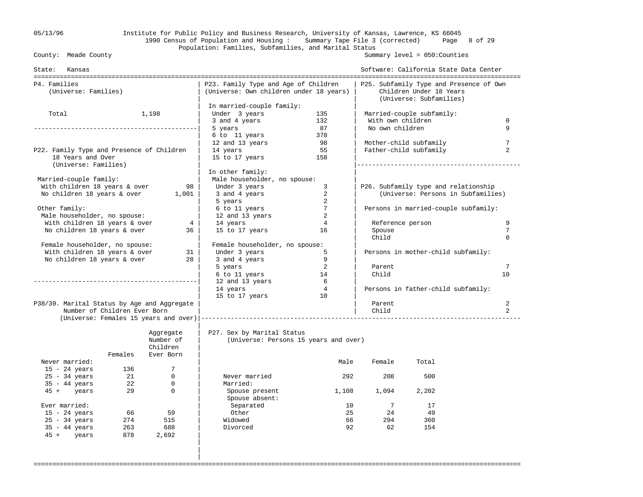## 05/13/96 Institute for Public Policy and Business Research, University of Kansas, Lawrence, KS 66045 1990 Census of Population and Housing : Summary Tape File 3 (corrected) Page 8 of 29 Population: Families, Subfamilies, and Marital Status<br>County: Meade County

Summary level =  $050$ : Counties

| State: Kansas                               |                              |                        |                                                                                 |                |                   | Software: California State Data Center                             |                |
|---------------------------------------------|------------------------------|------------------------|---------------------------------------------------------------------------------|----------------|-------------------|--------------------------------------------------------------------|----------------|
| P4. Families<br>(Universe: Families)        |                              |                        | P23. Family Type and Age of Children<br>(Universe: Own children under 18 years) |                |                   | P25. Subfamily Type and Presence of Own<br>Children Under 18 Years |                |
|                                             |                              |                        |                                                                                 |                |                   | (Universe: Subfamilies)                                            |                |
|                                             |                              |                        | In married-couple family:                                                       |                |                   |                                                                    |                |
| Total                                       |                              | 1,198                  | Under 3 years                                                                   | 135            |                   | Married-couple subfamily:                                          |                |
|                                             |                              |                        | 3 and 4 years                                                                   | 132            | With own children |                                                                    | $\mathbf 0$    |
|                                             |                              |                        | 5 years                                                                         | 87             | No own children   |                                                                    | 9              |
|                                             |                              |                        | 6 to 11 years                                                                   | 378            |                   |                                                                    |                |
|                                             |                              |                        | 12 and 13 years                                                                 | 98             |                   | Mother-child subfamily                                             | 7              |
| P22. Family Type and Presence of Children   |                              |                        | 14 years                                                                        | 55             |                   | Father-child subfamily                                             | $\overline{2}$ |
| 18 Years and Over<br>(Universe: Families)   |                              |                        | 15 to 17 years                                                                  | 158            |                   |                                                                    |                |
|                                             |                              |                        | In other family:                                                                |                |                   |                                                                    |                |
| Married-couple family:                      |                              |                        | Male householder, no spouse:                                                    |                |                   |                                                                    |                |
| With children 18 years & over               |                              | 98                     | Under 3 years                                                                   | 3              |                   | P26. Subfamily type and relationship                               |                |
| No children 18 years & over                 |                              | 1,001                  | 3 and 4 years                                                                   | 2              |                   | (Universe: Persons in Subfamilies)                                 |                |
|                                             |                              |                        | 5 years                                                                         | 2              |                   |                                                                    |                |
| Other family:                               |                              |                        | 6 to 11 years                                                                   | 7              |                   | Persons in married-couple subfamily:                               |                |
| Male householder, no spouse:                |                              |                        | 12 and 13 years                                                                 | 2              |                   |                                                                    |                |
| With children 18 years & over               |                              | 4                      | 14 years                                                                        | $\overline{4}$ | Reference person  |                                                                    | 9              |
| No children 18 years & over                 |                              | 36                     | 15 to 17 years                                                                  | 16             | Spouse            |                                                                    | 7              |
|                                             |                              |                        |                                                                                 |                | Child             |                                                                    | $\Omega$       |
| Female householder, no spouse:              |                              |                        | Female householder, no spouse:                                                  |                |                   |                                                                    |                |
| With children 18 years & over               |                              | 31                     | Under 3 years                                                                   | 5              |                   | Persons in mother-child subfamily:                                 |                |
| No children 18 years & over                 |                              | 28                     | 3 and 4 years                                                                   | 9              |                   |                                                                    |                |
|                                             |                              |                        | 5 years                                                                         | 2              | Parent            |                                                                    | 7              |
|                                             |                              |                        | 6 to 11 years                                                                   | 14             | Child             |                                                                    | 10             |
|                                             |                              |                        | 12 and 13 years                                                                 | 6              |                   |                                                                    |                |
|                                             |                              |                        | 14 years                                                                        | $\overline{4}$ |                   | Persons in father-child subfamily:                                 |                |
|                                             |                              |                        | 15 to 17 years                                                                  | 10             |                   |                                                                    |                |
| P38/39. Marital Status by Age and Aggregate |                              |                        |                                                                                 |                | Parent            |                                                                    | 2              |
|                                             | Number of Children Ever Born |                        |                                                                                 |                | Child             |                                                                    | $\overline{2}$ |
|                                             |                              |                        |                                                                                 |                |                   |                                                                    |                |
|                                             |                              | Aggregate<br>Number of | P27. Sex by Marital Status                                                      |                |                   |                                                                    |                |
|                                             |                              | Children               | (Universe: Persons 15 years and over)                                           |                |                   |                                                                    |                |
|                                             | Females                      | Ever Born              |                                                                                 |                |                   |                                                                    |                |
| Never married:                              |                              |                        |                                                                                 | Male           | Female            | Total                                                              |                |
| $15 - 24$ years                             | 136                          | 7                      |                                                                                 |                |                   |                                                                    |                |
| $25 - 34$ years                             | 21                           | $\mathbf 0$            | Never married                                                                   | 292            | 208               | 500                                                                |                |
| $35 - 44$ years                             | 22                           | $\mathbf 0$            | Married:                                                                        |                |                   |                                                                    |                |
| 45 + years                                  | 29                           | $\mathbf 0$            | Spouse present                                                                  | 1,108          | 1,094             | 2,202                                                              |                |
|                                             |                              |                        | Spouse absent:                                                                  |                |                   |                                                                    |                |
| Ever married:                               |                              |                        | Separated                                                                       | 10             | 7                 | 17                                                                 |                |
| $15 - 24$ years                             | 66                           | 59                     | Other                                                                           | 25             | 24                | 49                                                                 |                |
| $25 - 34$ years                             | 274                          | 515                    | Widowed                                                                         | 66             | 294               | 360                                                                |                |
| $35 - 44$ years                             | 263                          | 688                    | Divorced                                                                        | 92             | 62                | 154                                                                |                |
| 45 + years                                  | 878                          | 2,692                  |                                                                                 |                |                   |                                                                    |                |
|                                             |                              |                        |                                                                                 |                |                   |                                                                    |                |
|                                             |                              |                        |                                                                                 |                |                   |                                                                    |                |
|                                             |                              |                        |                                                                                 |                |                   |                                                                    |                |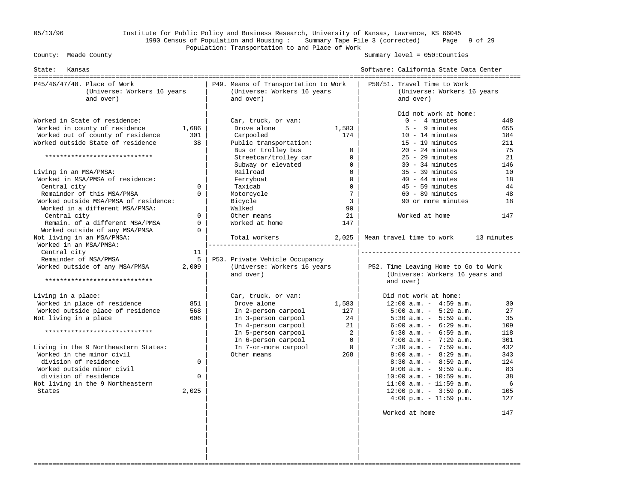## 05/13/96 Institute for Public Policy and Business Research, University of Kansas, Lawrence, KS 66045 1990 Census of Population and Housing : Summary Tape File 3 (corrected) Page 9 of 29 Population: Transportation to and Place of Work

Summary level =  $050$ : Counties

| P50/51. Travel Time to Work<br>P45/46/47/48. Place of Work<br>P49. Means of Transportation to Work<br>(Universe: Workers 16 years<br>(Universe: Workers 16 years<br>(Universe: Workers 16 years<br>and over)<br>and over)<br>and over)<br>Did not work at home:<br>Worked in State of residence:<br>$0 - 4$ minutes<br>Car, truck, or van:<br>448<br>Worked in county of residence<br>1,686<br>Drove alone<br>1,583<br>$5 - 9$ minutes<br>655<br>Worked out of county of residence<br>Carpooled<br>174<br>$10 - 14$ minutes<br>301<br>184<br>Worked outside State of residence<br>38<br>$15 - 19$ minutes<br>Public transportation:<br>211<br>$\Omega$<br>Bus or trolley bus<br>$20 - 24$ minutes<br>75<br>*****************************<br>$25 - 29$ minutes<br>Streetcar/trolley car<br>$\mathbf{0}$<br>21<br>Subway or elevated<br>$30 - 34$ minutes<br>$\Omega$<br>146<br>$\overline{0}$<br>$35 - 39$ minutes<br>Living in an MSA/PMSA:<br>Railroad<br>10<br>Worked in MSA/PMSA of residence:<br>$\Omega$<br>Ferryboat<br>$40 - 44$ minutes<br>18<br>$\mathbf 0$<br>$45 - 59$ minutes<br>Central city<br>$\Omega$<br>Taxicab<br>44<br>Remainder of this MSA/PMSA<br>$7\phantom{.0}$<br>Motorcycle<br>$60 - 89$ minutes<br>48<br>$\Omega$<br>Worked outside MSA/PMSA of residence:<br>Bicycle<br>$\mathbf{3}$<br>90 or more minutes<br>18<br>Worked in a different MSA/PMSA:<br>90<br>Walked<br>Worked at home<br>Central city<br>$\Omega$<br>Other means<br>21<br>147<br>Remain. of a different MSA/PMSA<br>$\mathbf 0$<br>Worked at home<br>147<br>Worked outside of any MSA/PMSA<br>$\Omega$<br>Not living in an MSA/PMSA:<br>Mean travel time to work<br>Total workers<br>2,025<br>13 minutes<br>Worked in an MSA/PMSA:<br>--------------------------------------<br>Central city<br>11<br>Remainder of MSA/PMSA<br>5<br>P53. Private Vehicle Occupancy<br>Worked outside of any MSA/PMSA<br>2,009<br>(Universe: Workers 16 years<br>P52. Time Leaving Home to Go to Work<br>(Universe: Workers 16 years and<br>and over)<br>*****************************<br>and over)<br>Living in a place:<br>Did not work at home:<br>Car, truck, or van:<br>Worked in place of residence<br>851<br>$12:00$ a.m. - $4:59$ a.m.<br>Drove alone<br>1,583<br>30<br>Worked outside place of residence<br>$5:00$ a.m. - $5:29$ a.m.<br>568<br>In 2-person carpool<br>127<br>27<br>24<br>Not living in a place<br>606<br>In 3-person carpool<br>$5:30$ a.m. - $5:59$ a.m.<br>35<br>In 4-person carpool<br>21<br>$6:00$ a.m. - $6:29$ a.m.<br>109<br>*****************************<br>In 5-person carpool<br>2<br>$6:30$ a.m. - $6:59$ a.m.<br>118<br>In 6-person carpool<br>$\overline{0}$<br>$7:00$ a.m. - $7:29$ a.m.<br>301<br>$\Omega$<br>$7:30$ a.m. - $7:59$ a.m.<br>Living in the 9 Northeastern States:<br>In 7-or-more carpool<br>432<br>Worked in the minor civil<br>Other means<br>268<br>$8:00$ a.m. - $8:29$ a.m.<br>343<br>division of residence<br>$8:30$ a.m. - $8:59$ a.m.<br>$\Omega$<br>124<br>Worked outside minor civil<br>$9:00$ a.m. - $9:59$ a.m.<br>83<br>division of residence<br>$\Omega$<br>$10:00$ a.m. - $10:59$ a.m.<br>38<br>$11:00$ a.m. - $11:59$ a.m.<br>Not living in the 9 Northeastern<br>6<br>2,025<br>$12:00 \text{ p.m.} - 3:59 \text{ p.m.}$<br>States<br>105<br>$4:00 \text{ p.m.} - 11:59 \text{ p.m.}$<br>127<br>Worked at home<br>147 | State:<br>Kansas |  | Software: California State Data Center |  |
|--------------------------------------------------------------------------------------------------------------------------------------------------------------------------------------------------------------------------------------------------------------------------------------------------------------------------------------------------------------------------------------------------------------------------------------------------------------------------------------------------------------------------------------------------------------------------------------------------------------------------------------------------------------------------------------------------------------------------------------------------------------------------------------------------------------------------------------------------------------------------------------------------------------------------------------------------------------------------------------------------------------------------------------------------------------------------------------------------------------------------------------------------------------------------------------------------------------------------------------------------------------------------------------------------------------------------------------------------------------------------------------------------------------------------------------------------------------------------------------------------------------------------------------------------------------------------------------------------------------------------------------------------------------------------------------------------------------------------------------------------------------------------------------------------------------------------------------------------------------------------------------------------------------------------------------------------------------------------------------------------------------------------------------------------------------------------------------------------------------------------------------------------------------------------------------------------------------------------------------------------------------------------------------------------------------------------------------------------------------------------------------------------------------------------------------------------------------------------------------------------------------------------------------------------------------------------------------------------------------------------------------------------------------------------------------------------------------------------------------------------------------------------------------------------------------------------------------------------------------------------------------------------------------------------------------------------------------------------------------------------------------------------------------------------------------------------------------------------------------------------------------------------------------------------------------------------------------------------------------------------------------------------------------------------------------------------------------------------------------------------|------------------|--|----------------------------------------|--|
|                                                                                                                                                                                                                                                                                                                                                                                                                                                                                                                                                                                                                                                                                                                                                                                                                                                                                                                                                                                                                                                                                                                                                                                                                                                                                                                                                                                                                                                                                                                                                                                                                                                                                                                                                                                                                                                                                                                                                                                                                                                                                                                                                                                                                                                                                                                                                                                                                                                                                                                                                                                                                                                                                                                                                                                                                                                                                                                                                                                                                                                                                                                                                                                                                                                                                                                                                                          |                  |  |                                        |  |
|                                                                                                                                                                                                                                                                                                                                                                                                                                                                                                                                                                                                                                                                                                                                                                                                                                                                                                                                                                                                                                                                                                                                                                                                                                                                                                                                                                                                                                                                                                                                                                                                                                                                                                                                                                                                                                                                                                                                                                                                                                                                                                                                                                                                                                                                                                                                                                                                                                                                                                                                                                                                                                                                                                                                                                                                                                                                                                                                                                                                                                                                                                                                                                                                                                                                                                                                                                          |                  |  |                                        |  |
|                                                                                                                                                                                                                                                                                                                                                                                                                                                                                                                                                                                                                                                                                                                                                                                                                                                                                                                                                                                                                                                                                                                                                                                                                                                                                                                                                                                                                                                                                                                                                                                                                                                                                                                                                                                                                                                                                                                                                                                                                                                                                                                                                                                                                                                                                                                                                                                                                                                                                                                                                                                                                                                                                                                                                                                                                                                                                                                                                                                                                                                                                                                                                                                                                                                                                                                                                                          |                  |  |                                        |  |
|                                                                                                                                                                                                                                                                                                                                                                                                                                                                                                                                                                                                                                                                                                                                                                                                                                                                                                                                                                                                                                                                                                                                                                                                                                                                                                                                                                                                                                                                                                                                                                                                                                                                                                                                                                                                                                                                                                                                                                                                                                                                                                                                                                                                                                                                                                                                                                                                                                                                                                                                                                                                                                                                                                                                                                                                                                                                                                                                                                                                                                                                                                                                                                                                                                                                                                                                                                          |                  |  |                                        |  |
|                                                                                                                                                                                                                                                                                                                                                                                                                                                                                                                                                                                                                                                                                                                                                                                                                                                                                                                                                                                                                                                                                                                                                                                                                                                                                                                                                                                                                                                                                                                                                                                                                                                                                                                                                                                                                                                                                                                                                                                                                                                                                                                                                                                                                                                                                                                                                                                                                                                                                                                                                                                                                                                                                                                                                                                                                                                                                                                                                                                                                                                                                                                                                                                                                                                                                                                                                                          |                  |  |                                        |  |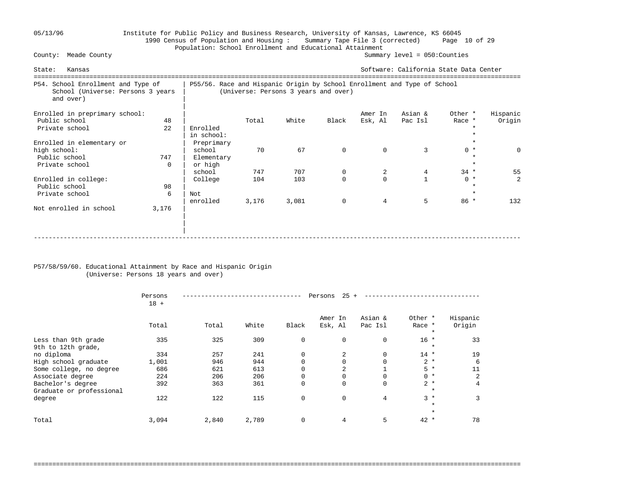## 05/13/96 Institute for Public Policy and Business Research, University of Kansas, Lawrence, KS 66045 1990 Census of Population and Housing : Summary Tape File 3 (corrected) Page 10 of 29 Population: School Enrollment and Educational Attainment<br>County: Meade County (Summar

Summary level =  $050$ : Counties

| Kansas<br>State:                                                                     |                 | Software: California State Data Center                                   |              |                                      |                         |                            |                      |                            |                    |
|--------------------------------------------------------------------------------------|-----------------|--------------------------------------------------------------------------|--------------|--------------------------------------|-------------------------|----------------------------|----------------------|----------------------------|--------------------|
| P54. School Enrollment and Type of<br>School (Universe: Persons 3 years<br>and over) |                 | P55/56. Race and Hispanic Origin by School Enrollment and Type of School |              | (Universe: Persons 3 years and over) |                         |                            |                      |                            |                    |
| Enrolled in preprimary school:<br>Public school<br>Private school                    | 48<br>22        | Enrolled<br>in school:                                                   | Total        | White                                | Black                   | Amer In<br>Esk, Al         | Asian &<br>Pac Isl   | Other *<br>Race *          | Hispanic<br>Origin |
| Enrolled in elementary or<br>high school:<br>Public school<br>Private school         | 747<br>$\Omega$ | Preprimary<br>school<br>Elementary<br>or high<br>school                  | 70<br>747    | 67<br>707                            | $\mathbf 0$<br>0        | $\Omega$<br>2              | 3<br>$4\overline{ }$ | $0 *$<br>$\star$<br>$34 *$ | $\Omega$<br>55     |
| Enrolled in college:<br>Public school<br>Private school                              | 98<br>6         | College<br>Not<br>enrolled                                               | 104<br>3,176 | 103<br>3,081                         | $\Omega$<br>$\mathbf 0$ | $\Omega$<br>$\overline{4}$ | 5                    | $0 *$<br>$\star$<br>$86 *$ | 2<br>132           |
| Not enrolled in school                                                               | 3,176           |                                                                          |              |                                      |                         |                            |                      |                            |                    |

### P57/58/59/60. Educational Attainment by Race and Hispanic Origin (Universe: Persons 18 years and over)

|                                               | Persons<br>$18 +$ |       | 25<br>Persons |             |                    |                    |                              |                    |  |  |
|-----------------------------------------------|-------------------|-------|---------------|-------------|--------------------|--------------------|------------------------------|--------------------|--|--|
|                                               | Total             | Total | White         | Black       | Amer In<br>Esk, Al | Asian &<br>Pac Isl | Other *<br>Race *<br>$\star$ | Hispanic<br>Origin |  |  |
| Less than 9th grade<br>9th to 12th grade,     | 335               | 325   | 309           | 0           | $\mathbf 0$        | 0                  | $16 *$<br>$\star$            | 33                 |  |  |
| no diploma                                    | 334               | 257   | 241           | 0           | 2                  | 0                  | $14$ *                       | 19                 |  |  |
| High school graduate                          | 1,001             | 946   | 944           | $\Omega$    |                    | 0                  | $2 *$                        | 6                  |  |  |
| Some college, no degree                       | 686               | 621   | 613           | $\Omega$    | 2                  |                    | $5*$                         | 11                 |  |  |
| Associate degree                              | 224               | 206   | 206           | 0           | $\Omega$           | 0                  | $0 *$                        | 2                  |  |  |
| Bachelor's degree<br>Graduate or professional | 392               | 363   | 361           | 0           | $\Omega$           | 0                  | $2 *$<br>$\star$             | 4                  |  |  |
| degree                                        | 122               | 122   | 115           | $\mathbf 0$ | $\Omega$           | 4                  | $3*$<br>$\star$              | 3                  |  |  |
|                                               |                   |       |               |             |                    |                    | $\star$                      |                    |  |  |
| Total                                         | 3,094             | 2,840 | 2,789         | $\mathbf 0$ | 4                  | 5                  | $42 *$                       | 78                 |  |  |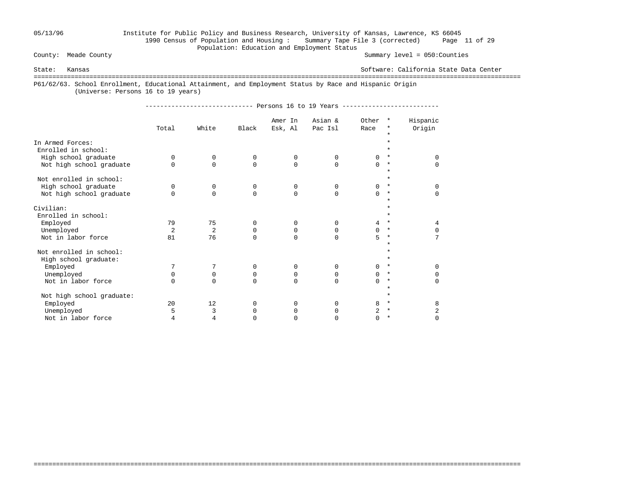## 05/13/96 Institute for Public Policy and Business Research, University of Kansas, Lawrence, KS 66045 1990 Census of Population and Housing : Summary Tape File 3 (corrected) Page 11 of 29 Population: Education and Employment Status<br>
County: Meade County

Summary level =  $050$ : Counties

State: Kansas Software: California State Data Center

===================================================================================================================================

===================================================================================================================================

P61/62/63. School Enrollment, Educational Attainment, and Employment Status by Race and Hispanic Origin

(Universe: Persons 16 to 19 years)

----------------------------- Persons 16 to 19 Years --------------------------

|                                         | Total          | White       | Black    | Amer In<br>Esk, Al | Asian &<br>Pac Isl | Other<br>Race | $\star$            | Hispanic<br>Origin |
|-----------------------------------------|----------------|-------------|----------|--------------------|--------------------|---------------|--------------------|--------------------|
| In Armed Forces:<br>Enrolled in school: |                |             |          |                    |                    |               |                    |                    |
| High school graduate                    | $\Omega$       | 0           | 0        | 0                  | 0                  | 0             | $\ast$             | $\Omega$           |
| Not high school graduate                | $\Omega$       | $\Omega$    | $\Omega$ | $\Omega$           | $\Omega$           | $\Omega$      | $\star$            | $\Omega$           |
| Not enrolled in school:                 |                |             |          |                    |                    |               | $\star$            |                    |
| High school graduate                    | $\Omega$       | $\mathbf 0$ | 0        | 0                  | 0                  | 0             | $\star$            | $\Omega$           |
| Not high school graduate                | $\Omega$       | $\Omega$    | $\Omega$ | $\Omega$           | $\Omega$           | 0             | $\ast$<br>$\star$  | $\Omega$           |
| Civilian:                               |                |             |          |                    |                    |               |                    |                    |
| Enrolled in school:                     |                |             |          |                    |                    |               | $\star$            |                    |
| Employed                                | 79             | 75          | $\Omega$ | $\Omega$           | $\Omega$           | 4             | $\star$            | 4                  |
| Unemployed                              | $\overline{2}$ | 2           | 0        | 0                  | 0                  | 0             | $\ast$             | $\Omega$           |
| Not in labor force                      | 81             | 76          | $\Omega$ | $\Omega$           | $\Omega$           | 5             | $\star$<br>$\star$ | 7                  |
| Not enrolled in school:                 |                |             |          |                    |                    |               |                    |                    |
| High school graduate:                   |                |             |          |                    |                    |               | $\star$            |                    |
| Employed                                | 7              | 7           | 0        | 0                  | $\mathbf 0$        | 0             | $\ast$             | $\Omega$           |
| Unemployed                              | $\Omega$       | $\mathbf 0$ | 0        | 0                  | $\Omega$           | 0             | $\star$            | O                  |
| Not in labor force                      | $\Omega$       | $\Omega$    | $\Omega$ | $\Omega$           | $\Omega$           | $\Omega$      | $\star$            | $\Omega$           |
| Not high school graduate:               |                |             |          |                    |                    |               |                    |                    |
| Employed                                | 20             | 12          | $\Omega$ | 0                  | $\Omega$           | 8             | $\ast$             | 8                  |
| Unemployed                              | 5              | 3           | 0        | 0                  | $\Omega$           | 2             | $\star$            | 2                  |
| Not in labor force                      | 4              | 4           | $\Omega$ | U                  | <sup>0</sup>       | 0             | $^\star$           | $\Omega$           |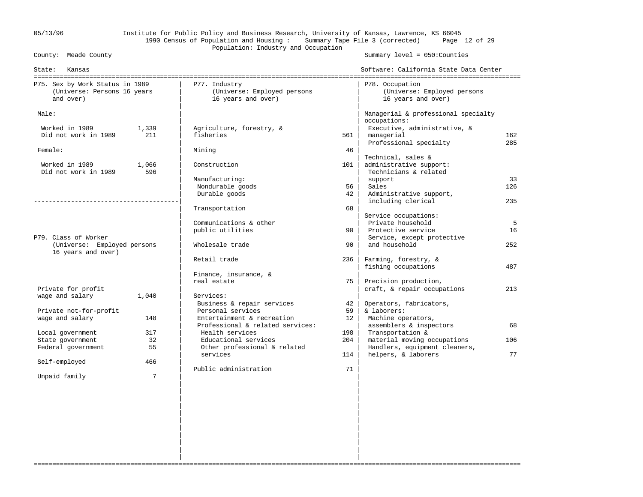## 05/13/96 Institute for Public Policy and Business Research, University of Kansas, Lawrence, KS 66045 1990 Census of Population and Housing : Summary Tape File 3 (corrected) Page 12 of 29 Population: Industry and Occupation<br>
County: Meade County

Summary level =  $050$ : Counties

| State:<br>Kansas                                               |       |                                                     |          | Software: California State Data Center              |           |
|----------------------------------------------------------------|-------|-----------------------------------------------------|----------|-----------------------------------------------------|-----------|
| P75. Sex by Work Status in 1989<br>(Universe: Persons 16 years |       | P77. Industry<br>(Universe: Employed persons        |          | P78. Occupation<br>(Universe: Employed persons      |           |
| and over)                                                      |       | 16 years and over)                                  |          | 16 years and over)                                  |           |
| Male:                                                          |       |                                                     |          | Managerial & professional specialty<br>occupations: |           |
| Worked in 1989                                                 | 1,339 | Agriculture, forestry, &                            |          | Executive, administrative, &                        |           |
| Did not work in 1989                                           | 211   | fisheries                                           | 561      | managerial                                          | 162       |
|                                                                |       |                                                     |          | Professional specialty                              | 285       |
| Female:                                                        |       | Mining                                              | 46       |                                                     |           |
|                                                                |       |                                                     |          | Technical, sales &                                  |           |
| Worked in 1989                                                 | 1,066 | Construction                                        | 101      | administrative support:                             |           |
| Did not work in 1989                                           | 596   |                                                     |          | Technicians & related                               |           |
|                                                                |       | Manufacturing:                                      |          | support                                             | 33<br>126 |
|                                                                |       | Nondurable goods<br>Durable goods                   | 56<br>42 | Sales<br>Administrative support,                    |           |
|                                                                |       |                                                     |          | including clerical                                  | 235       |
|                                                                |       | Transportation                                      | 68       |                                                     |           |
|                                                                |       |                                                     |          | Service occupations:                                |           |
|                                                                |       | Communications & other                              |          | Private household                                   | 5         |
|                                                                |       | public utilities                                    | 90       | Protective service                                  | 16        |
| P79. Class of Worker                                           |       |                                                     |          | Service, except protective                          |           |
| (Universe: Employed persons<br>16 years and over)              |       | Wholesale trade                                     | 90       | and household                                       | 252       |
|                                                                |       | Retail trade                                        | 236      | Farming, forestry, &<br>fishing occupations         | 487       |
|                                                                |       | Finance, insurance, &                               |          |                                                     |           |
|                                                                |       | real estate                                         | 75       | Precision production,                               |           |
| Private for profit                                             |       |                                                     |          | craft, & repair occupations                         | 213       |
| wage and salary                                                | 1,040 | Services:                                           |          |                                                     |           |
|                                                                |       | Business & repair services                          | 42       | Operators, fabricators,                             |           |
| Private not-for-profit                                         |       | Personal services                                   | 59       | & laborers:                                         |           |
| wage and salary                                                | 148   | Entertainment & recreation                          | 12       | Machine operators,                                  |           |
| Local government                                               | 317   | Professional & related services:<br>Health services | 198      | assemblers & inspectors<br>Transportation &         | 68        |
| State government                                               | 32    | Educational services                                | 204      | material moving occupations                         | 106       |
| Federal government                                             | 55    | Other professional & related                        |          | Handlers, equipment cleaners,                       |           |
|                                                                |       | services                                            | 114      | helpers, & laborers                                 | 77        |
| Self-employed                                                  | 466   |                                                     |          |                                                     |           |
|                                                                |       | Public administration                               | 71       |                                                     |           |
| Unpaid family                                                  | 7     |                                                     |          |                                                     |           |
|                                                                |       |                                                     |          |                                                     |           |
|                                                                |       |                                                     |          |                                                     |           |
|                                                                |       |                                                     |          |                                                     |           |
|                                                                |       |                                                     |          |                                                     |           |
|                                                                |       |                                                     |          |                                                     |           |
|                                                                |       |                                                     |          |                                                     |           |
|                                                                |       |                                                     |          |                                                     |           |
|                                                                |       |                                                     |          |                                                     |           |
|                                                                |       |                                                     |          |                                                     |           |
|                                                                |       |                                                     |          |                                                     |           |

===================================================================================================================================

| |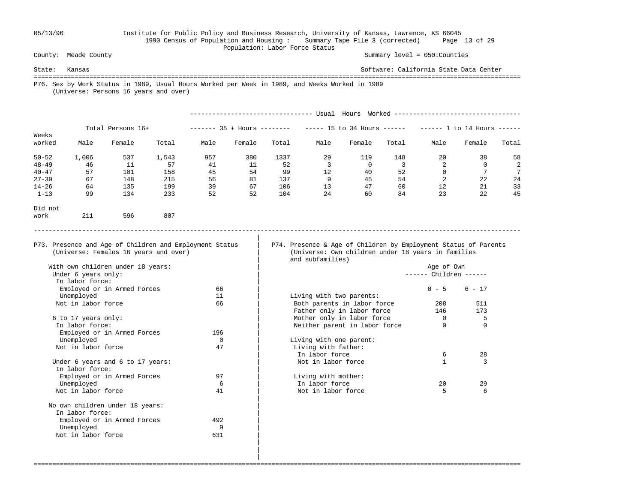Did not

### 05/13/96 Institute for Public Policy and Business Research, University of Kansas, Lawrence, KS 66045 1990 Census of Population and Housing : Summary Tape File 3 (corrected) Page 13 of 29 Population: Labor Force Status

County: Meade County Summary level = 050:Counties

State: Kansas Software: California State Data Center =================================================================================================================================== P76. Sex by Work Status in 1989, Usual Hours Worked per Week in 1989, and Weeks Worked in 1989 (Universe: Persons 16 years and over) --------------------------------- Usual Hours Worked ---------------------------------- Total Persons 16+ ------- 35 + Hours ------- ----- 15 to 34 Hours ------ ----- 1 to 14 Hours -----Weeks<br>worked Male Female Total Male Female Total Male Female Total Male Female Total 50-52 1,006 537 1,543 957 380 1337 29 119 148 20 38 58 48-49 46 11 57 41 11 52 3 0 3 2 0 2

 40-47 57 101 158 45 54 99 12 40 52 0 7 7 27-39 67 148 215 56 81 137 9 45 54 2 22 24 14-26 64 135 199 39 67 106 13 47 60 12 21 33 1-13 99 134 233 52 52 104 24 60 84 23 22 45

===================================================================================================================================

|

 P73. Presence and Age of Children and Employment Status | P74. Presence & Age of Children by Employment Status of Parents (Universe: Females 16 years and over) | (Universe: Own children under 18 years in families and subfamilies)

-----------------------------------------------------------------------------------------------------------------------------------

------ Children ------

| In labor force:                  |          |                               |          |          |
|----------------------------------|----------|-------------------------------|----------|----------|
| Employed or in Armed Forces      | 66       |                               | $0 - 5$  | $6 - 17$ |
| Unemployed                       | 11       | Living with two parents:      |          |          |
| Not in labor force               | 66       | Both parents in labor force   | 208      | 511      |
|                                  |          | Father only in labor force    | 146      | 173      |
| 6 to 17 years only:              |          | Mother only in labor force    |          | 5        |
| In labor force:                  |          | Neither parent in labor force | $\Omega$ | $\Omega$ |
| Employed or in Armed Forces      | 196      |                               |          |          |
| Unemployed                       | $\Omega$ | Living with one parent:       |          |          |
| Not in labor force               | 47       | Living with father:           |          |          |
|                                  |          | In labor force                | 6        | 28       |
| Under 6 years and 6 to 17 years: |          | Not in labor force            |          | ζ        |
| In labor force:                  |          |                               |          |          |
| Employed or in Armed Forces      | 97       | Living with mother:           |          |          |
| Unemployed                       | 6        | In labor force                | 20       | 29       |
| Not in labor force               | 41       | Not in labor force            |          | 6        |

work 211 596 807

| With own children under 18 years: |     |                               | Age of Own |   |
|-----------------------------------|-----|-------------------------------|------------|---|
| Under 6 years only:               |     |                               | Children - |   |
| In labor force:                   |     |                               |            |   |
| Employed or in Armed Forces       | 66  |                               | $0 - 5$    | б |
| Unemployed                        | 11  | Living with two parents:      |            |   |
| Not in labor force                | 66  | Both parents in labor force   | 208        |   |
|                                   |     | Father only in labor force    | 146        |   |
| 6 to 17 years only:               |     | Mother only in labor force    | 0          |   |
| In labor force:                   |     | Neither parent in labor force | 0          |   |
| Employed or in Armed Forces       | 196 |                               |            |   |
| Unemployed                        | 0   | Living with one parent:       |            |   |
| Not in labor force                | 47  | Living with father:           |            |   |
|                                   |     | In labor force                | 6          |   |
| Under 6 years and 6 to 17 years:  |     | Not in labor force            |            |   |
| In labor force:                   |     |                               |            |   |
| Employed or in Armed Forces       | 97  | Living with mother:           |            |   |
| Unemployed                        | 6   | In labor force                | 20         |   |
| Not in labor force                | 41  | Not in labor force            | 5          |   |
| No own children under 18 years:   |     |                               |            |   |
| In labor force:                   |     |                               |            |   |
| Employed or in Armed Forces       | 492 |                               |            |   |
| Unemployed                        | 9   |                               |            |   |
| Not in labor force                | 631 |                               |            |   |
|                                   |     |                               |            |   |

 | |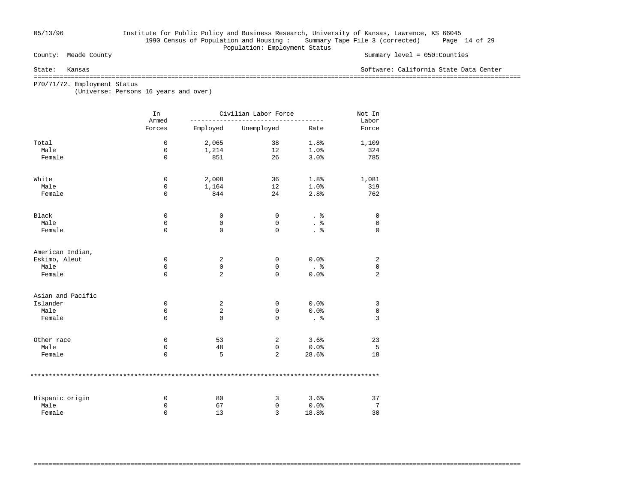## 05/13/96 Institute for Public Policy and Business Research, University of Kansas, Lawrence, KS 66045 1990 Census of Population and Housing : Summary Tape File 3 (corrected) Page 14 of 29 Population: Employment Status<br>
County: Meade County

### Summary level =  $050$ : Counties

State: Kansas Software: California State Data Center

===================================================================================================================================

===================================================================================================================================

P70/71/72. Employment Status

(Universe: Persons 16 years and over)

|                   | In<br>Armed | Civilian Labor Force |             | Not In<br>Labor |                |
|-------------------|-------------|----------------------|-------------|-----------------|----------------|
|                   | Forces      | Employed             | Unemployed  | Rate            | Force          |
| Total             | $\mathbf 0$ | 2,065                | 38          | 1.8%            | 1,109          |
| Male              | 0           | 1,214                | 12          | 1.0%            | 324            |
| Female            | $\mathbf 0$ | 851                  | 26          | 3.0%            | 785            |
| White             | 0           | 2,008                | 36          | 1.8%            | 1,081          |
| Male              | 0           | 1,164                | 12          | 1.0%            | 319            |
| Female            | $\mathbf 0$ | 844                  | 24          | 2.8%            | 762            |
| Black             | 0           | 0                    | 0           | . 응             | 0              |
| Male              | 0           | 0                    | 0           |                 | $\mathbf 0$    |
| Female            | $\mathbf 0$ | $\mathbf 0$          | 0           | . 응             | $\mathbf 0$    |
| American Indian,  |             |                      |             |                 |                |
| Eskimo, Aleut     | 0           | 2                    | 0           | 0.0%            | 2              |
| Male              | 0           | 0                    | 0           | $\frac{8}{100}$ | $\mathbf 0$    |
| Female            | $\mathbf 0$ | 2                    | $\mathbf 0$ | 0.0%            | 2              |
| Asian and Pacific |             |                      |             |                 |                |
| Islander          | 0           | 2                    | 0           | 0.0%            | 3              |
| Male              | 0           | $\overline{2}$       | $\mathbf 0$ | 0.0%            | $\mathsf 0$    |
| Female            | $\mathbf 0$ | $\mathbf 0$          | 0           | . 응             | $\overline{3}$ |
| Other race        | 0           | 53                   | 2           | 3.6%            | 23             |
| Male              | 0           | 48                   | $\mathbf 0$ | 0.0%            | 5              |
| Female            | $\mathbf 0$ | 5                    | 2           | 28.6%           | 18             |
|                   |             |                      |             |                 |                |
| Hispanic origin   | 0           | 80                   | 3           | 3.6%            | 37             |
| Male              | 0           | 67                   | 0           | 0.0%            | 7              |
| Female            | $\Omega$    | 13                   | 3           | 18.8%           | 30             |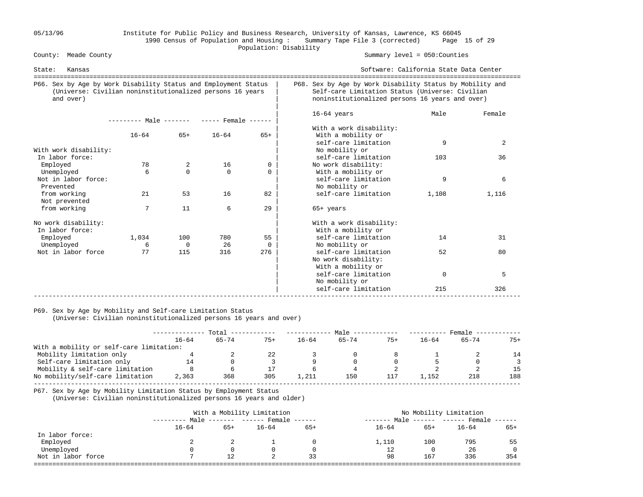## 05/13/96 Institute for Public Policy and Business Research, University of Kansas, Lawrence, KS 66045 1990 Census of Population and Housing : Summary Tape File 3 (corrected) Page 15 of 29 Population: Disability<br>
County: Meade County

### Summary level =  $050$ : Counties

| Kansas<br>State:                                                                                                                          |                                            |                          |           |          |                                                                                                                                                                 | Software: California State Data Center |        |  |  |
|-------------------------------------------------------------------------------------------------------------------------------------------|--------------------------------------------|--------------------------|-----------|----------|-----------------------------------------------------------------------------------------------------------------------------------------------------------------|----------------------------------------|--------|--|--|
| P66. Sex by Age by Work Disability Status and Employment Status<br>(Universe: Civilian noninstitutionalized persons 16 years<br>and over) |                                            |                          |           |          | P68. Sex by Age by Work Disability Status by Mobility and<br>Self-care Limitation Status (Universe: Civilian<br>noninstitutionalized persons 16 years and over) |                                        |        |  |  |
|                                                                                                                                           | --------- Male ------- ----- Female ------ |                          |           |          | $16-64$ years<br>With a work disability:                                                                                                                        | Male                                   | Female |  |  |
|                                                                                                                                           | $16 - 64$                                  | $65+$                    | $16 - 64$ | $65+$    | With a mobility or                                                                                                                                              |                                        |        |  |  |
|                                                                                                                                           |                                            |                          |           |          | self-care limitation                                                                                                                                            | 9                                      | 2      |  |  |
| With work disability:                                                                                                                     |                                            |                          |           |          | No mobility or                                                                                                                                                  |                                        |        |  |  |
| In labor force:                                                                                                                           |                                            |                          |           |          | self-care limitation                                                                                                                                            | 103                                    | 36     |  |  |
| Employed                                                                                                                                  | 78                                         | $\overline{2}$           | 16        | 0        | No work disability:                                                                                                                                             |                                        |        |  |  |
| Unemployed                                                                                                                                | 6                                          | $\Omega$                 | $\Omega$  | 0        | With a mobility or                                                                                                                                              |                                        |        |  |  |
| Not in labor force:<br>Prevented                                                                                                          |                                            |                          |           |          | self-care limitation<br>No mobility or                                                                                                                          | 9                                      | 6      |  |  |
| from working<br>Not prevented                                                                                                             | 21                                         | 53                       | 16        | 82       | self-care limitation                                                                                                                                            | 1,108                                  | 1,116  |  |  |
| from working                                                                                                                              | 7                                          | 11                       | 6         | 29       | $65+$ years                                                                                                                                                     |                                        |        |  |  |
| No work disability:<br>In labor force:                                                                                                    |                                            |                          |           |          | With a work disability:<br>With a mobility or                                                                                                                   |                                        |        |  |  |
| Employed                                                                                                                                  | 1,034                                      | 100                      | 780       | 55       | self-care limitation                                                                                                                                            | 14                                     | 31     |  |  |
| Unemployed                                                                                                                                | 6                                          | $\overline{\phantom{0}}$ | 26        | $\Omega$ | No mobility or                                                                                                                                                  |                                        |        |  |  |
| Not in labor force                                                                                                                        | 77                                         | 115                      | 316       | 276      | self-care limitation<br>No work disability:<br>With a mobility or                                                                                               | 52                                     | 80     |  |  |
|                                                                                                                                           |                                            |                          |           |          | self-care limitation<br>No mobility or                                                                                                                          | $\Omega$                               | 5      |  |  |
|                                                                                                                                           |                                            |                          |           |          | self-care limitation                                                                                                                                            | 215                                    | 326    |  |  |

### P69. Sex by Age by Mobility and Self-care Limitation Status

(Universe: Civilian noninstitutionalized persons 16 years and over)

|                                          | Total |       |       | Male      |           |       | Female    |           |       |
|------------------------------------------|-------|-------|-------|-----------|-----------|-------|-----------|-----------|-------|
|                                          | 16–64 | 65-74 | $75+$ | $16 - 64$ | $65 - 74$ | $75+$ | $16 - 64$ | $65 - 74$ | $75+$ |
| With a mobility or self-care limitation: |       |       |       |           |           |       |           |           |       |
| Mobility limitation only                 |       |       |       |           |           |       |           |           | 14    |
| Self-care limitation only                | 14    |       |       |           |           |       |           |           |       |
| Mobility & self-care limitation          |       |       |       |           |           |       |           |           | 15    |
| No mobility/self-care limitation         | 2,363 | 368   | 305   | 1,211     | 150       |       | . . 152   | 218       | 188   |
|                                          |       |       |       |           |           |       |           |           |       |

P67. Sex by Age by Mobility Limitation Status by Employment Status

(Universe: Civilian noninstitutionalized persons 16 years and older)

|                    |           |                     | With a Mobility Limitation | No Mobility Limitation |           |                                  |           |          |
|--------------------|-----------|---------------------|----------------------------|------------------------|-----------|----------------------------------|-----------|----------|
|                    |           | Male ------- ------ |                            | Female $---$           | --------  | Male ------ ------ Female ------ |           |          |
|                    | $16 - 64$ | $65+$               | $16 - 64$                  | $65+$                  | $16 - 64$ | $65+$                            | $16 - 64$ | $65+$    |
| In labor force:    |           |                     |                            |                        |           |                                  |           |          |
| Employed           |           |                     |                            |                        | 1,110     | 100                              | 795       | 55       |
| Unemployed         |           | $\Omega$            |                            | $\Omega$               | 12        | 0                                | 26        | $\Omega$ |
| Not in labor force |           | 12                  |                            | 33                     | 98        | 167                              | 336       | 354      |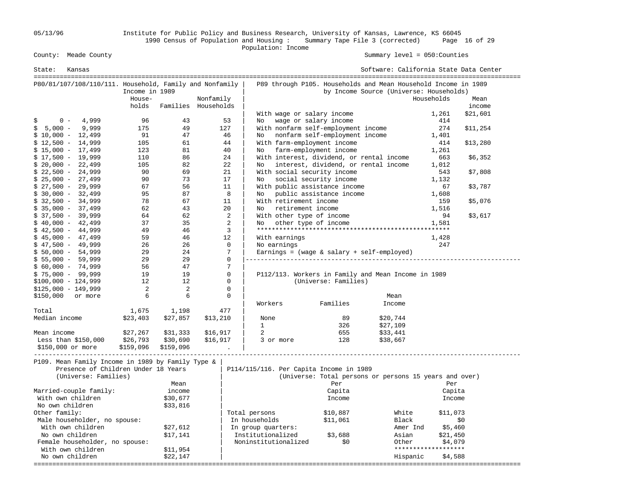05/13/96 Institute for Public Policy and Business Research, University of Kansas, Lawrence, KS 66045 1990 Census of Population and Housing : Summary Tape File 3 (corrected) Page 16 of 29 County: Meade County<br>
Population: Income<br>
Population: Income

| State:                                   | Kansas                                                                                                                        |                |                     |           |             |                                         |                                                                | Software: California State Data Center  |                     |          |
|------------------------------------------|-------------------------------------------------------------------------------------------------------------------------------|----------------|---------------------|-----------|-------------|-----------------------------------------|----------------------------------------------------------------|-----------------------------------------|---------------------|----------|
|                                          | P80/81/107/108/110/111. Household, Family and Nonfamily                                                                       |                |                     |           |             |                                         | P89 through P105. Households and Mean Household Income in 1989 |                                         |                     |          |
|                                          |                                                                                                                               | Income in 1989 |                     |           |             |                                         |                                                                | by Income Source (Universe: Households) |                     |          |
|                                          |                                                                                                                               | House-         |                     | Nonfamily |             |                                         |                                                                |                                         | Households          | Mean     |
|                                          |                                                                                                                               | holds          | Families Households |           |             |                                         |                                                                |                                         |                     | income   |
|                                          |                                                                                                                               |                |                     |           |             |                                         | With wage or salary income                                     |                                         | 1,261               | \$21,601 |
| $0 -$<br>\$                              | 4,999                                                                                                                         | 96             | 43                  |           | 53          | No.                                     | wage or salary income                                          |                                         | 414                 |          |
| $5,000 -$<br>\$                          | 9,999                                                                                                                         | 175            | 49                  | 127       |             |                                         | With nonfarm self-employment income                            |                                         | 274                 | \$11,254 |
| $$10,000 - 12,499$                       |                                                                                                                               | 91             | 47                  |           | 46          | No                                      | nonfarm self-employment income                                 |                                         | 1,401               |          |
| $$12,500 - 14,999$                       |                                                                                                                               | 105            | 61                  |           | 44          |                                         | With farm-employment income                                    |                                         | 414                 | \$13,280 |
| $$15,000 - 17,499$                       |                                                                                                                               | 123            | 81                  |           | 40          | No                                      | farm-employment income                                         |                                         | 1,261               |          |
| $$17,500 - 19,999$                       |                                                                                                                               | 110            | 86                  |           | 24          |                                         | With interest, dividend, or rental income                      |                                         | 663                 | \$6,352  |
| $$20,000 - 22,499$                       |                                                                                                                               | 105            | 82                  |           | 22          | No.                                     | interest, dividend, or rental income                           |                                         | 1,012               |          |
| $$22,500 - 24,999$                       |                                                                                                                               | 90             | 69                  |           | 21          |                                         | With social security income                                    |                                         | 543                 | \$7,808  |
| $$25,000 - 27,499$                       |                                                                                                                               | 90             | 73                  |           | 17          | No                                      | social security income                                         |                                         | 1,132               |          |
| $$27,500 - 29,999$                       |                                                                                                                               | 67             | 56                  |           | 11          |                                         | With public assistance income                                  |                                         | 67                  | \$3,787  |
| $$30,000 - 32,499$                       |                                                                                                                               | 95             | 87                  |           | 8           | No.                                     | public assistance income                                       |                                         | 1,608               |          |
| $$32,500 - 34,999$                       |                                                                                                                               | 78             | 67                  |           | 11          | With retirement income                  |                                                                |                                         | 159                 | \$5,076  |
| $$35,000 - 37,499$                       |                                                                                                                               | 62             | 43                  |           | 20          | No                                      | retirement income                                              |                                         | 1,516               |          |
| $$37,500 - 39,999$                       |                                                                                                                               | 64             | 62                  |           | 2           | With other type of income               |                                                                |                                         | 94                  | \$3,617  |
| $$40,000 - 42,499$                       |                                                                                                                               | 37             | 35                  |           | 2<br>3      | No.                                     | other type of income                                           |                                         | 1,581               |          |
| $$42,500 - 44,999$<br>$$45,000 - 47,499$ |                                                                                                                               | 49<br>59       | 46<br>46            |           | 12          | With earnings                           |                                                                |                                         | 1,428               |          |
| $$47,500 - 49,999$                       |                                                                                                                               | 26             | 26                  |           | $\mathbf 0$ | No earnings                             |                                                                |                                         | 247                 |          |
| $$50,000 - 54,999$                       |                                                                                                                               | 29             | 24                  |           | 7           |                                         | Earnings = $(wage & salary + self-emploved)$                   |                                         |                     |          |
| $$55,000 - 59,999$                       |                                                                                                                               | 29             | 29                  |           | 0           |                                         |                                                                |                                         |                     |          |
| $$60,000 - 74,999$                       |                                                                                                                               | 56             | 47                  |           | 7           |                                         |                                                                |                                         |                     |          |
| $$75,000 - 99,999$                       |                                                                                                                               | 19             | 19                  |           | 0           |                                         | P112/113. Workers in Family and Mean Income in 1989            |                                         |                     |          |
| $$100,000 - 124,999$                     |                                                                                                                               | 12             | 12                  |           | $\Omega$    |                                         | (Universe: Families)                                           |                                         |                     |          |
| $$125,000 - 149,999$                     |                                                                                                                               | 2              | $\overline{2}$      |           | 0           |                                         |                                                                |                                         |                     |          |
| \$150,000                                | or more                                                                                                                       | 6              | 6                   |           | 0           |                                         |                                                                | Mean                                    |                     |          |
|                                          |                                                                                                                               |                |                     |           |             | Workers                                 | Families                                                       | Income                                  |                     |          |
| Total                                    |                                                                                                                               | 1,675          | 1,198               | 477       |             |                                         |                                                                |                                         |                     |          |
| Median income                            |                                                                                                                               | \$23,403       | \$27,857            | \$13,210  |             | None                                    | 89                                                             | \$20,744                                |                     |          |
|                                          |                                                                                                                               |                |                     |           |             | $\mathbf{1}$                            | 326                                                            | \$27,109                                |                     |          |
| Mean income                              |                                                                                                                               | \$27,267       | \$31,333            | \$16,917  |             | 2                                       | 655                                                            | \$33,441                                |                     |          |
|                                          | Less than \$150,000                                                                                                           | \$26,793       | \$30,690            | \$16,917  |             | 3 or more                               | 128                                                            | \$38,667                                |                     |          |
| \$150,000 or more                        |                                                                                                                               | \$159,096      | \$159,096           |           |             |                                         |                                                                |                                         |                     |          |
|                                          | _________________________________<br>P109. Mean Family Income in 1989 by Family Type &<br>Presence of Children Under 18 Years |                |                     |           |             | P114/115/116. Per Capita Income in 1989 |                                                                |                                         |                     |          |
|                                          | (Universe: Families)                                                                                                          |                |                     |           |             |                                         | (Universe: Total persons or persons 15 years and over)         |                                         |                     |          |
|                                          |                                                                                                                               |                | Mean                |           |             |                                         | Per                                                            |                                         | Per                 |          |
|                                          | Married-couple family:                                                                                                        |                | income              |           |             |                                         | Capita                                                         |                                         | Capita              |          |
|                                          | With own children                                                                                                             |                | \$30,677            |           |             |                                         | Income                                                         |                                         | Income              |          |
| No own children                          |                                                                                                                               |                | \$33,816            |           |             |                                         |                                                                |                                         |                     |          |
| Other family:                            |                                                                                                                               |                |                     |           |             | Total persons                           | \$10,887                                                       | White                                   | \$11,073            |          |
|                                          | Male householder, no spouse:                                                                                                  |                |                     |           |             | In households                           | \$11,061                                                       | Black                                   |                     | \$0      |
|                                          | With own children                                                                                                             |                | \$27,612            |           |             | In group quarters:                      |                                                                | Amer Ind                                | \$5,460             |          |
|                                          | No own children                                                                                                               |                | \$17,141            |           |             | Institutionalized                       | \$3,688                                                        | Asian                                   | \$21,450            |          |
|                                          | Female householder, no spouse:                                                                                                |                |                     |           |             | Noninstitutionalized                    | \$0                                                            | Other                                   | \$4,079             |          |
|                                          | With own children                                                                                                             |                | \$11,954            |           |             |                                         |                                                                |                                         | ******************* |          |
|                                          | No own children                                                                                                               |                | \$22,147            |           |             |                                         |                                                                | Hispanic                                | \$4,588             |          |
|                                          |                                                                                                                               |                |                     |           |             |                                         |                                                                |                                         |                     |          |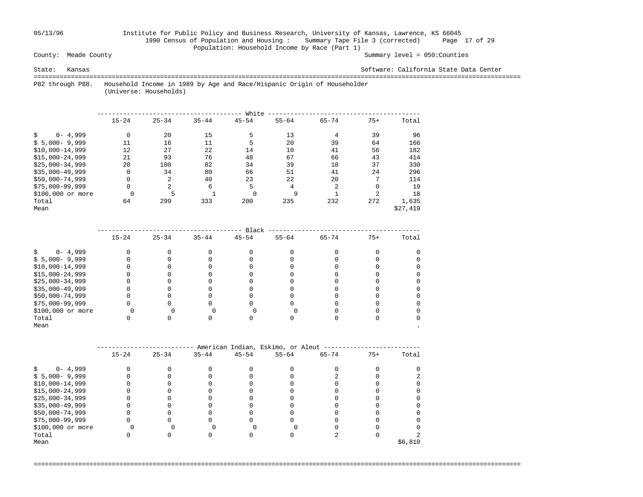## 05/13/96 Institute for Public Policy and Business Research, University of Kansas, Lawrence, KS 66045 1990 Census of Population and Housing : Summary Tape File 3 (corrected) Page 17 of 29 Population: Household Income by Race (Part 1)<br>County: Meade County

Summary level =  $050$ : Counties

State: Kansas Software: California State Data Center

 =================================================================================================================================== P82 through P88. Household Income in 1989 by Age and Race/Hispanic Origin of Householder

(Universe: Households)

|                    |           |           |           | White     |           |           |                |          |
|--------------------|-----------|-----------|-----------|-----------|-----------|-----------|----------------|----------|
|                    | $15 - 24$ | $25 - 34$ | $35 - 44$ | $45 - 54$ | $55 - 64$ | $65 - 74$ | $75+$          | Total    |
| $0 - 4,999$        | 0         | 20        | 15        | 5         | 13        | 4         | 39             | 96       |
| $$5,000-9,999$     | 11        | 16        | 11        | 5         | 20        | 39        | 64             | 166      |
| $$10,000-14,999$   | 12        | 27        | 22        | 14        | 10        | 41        | 56             | 182      |
| $$15,000-24,999$   | 21        | 93        | 76        | 48        | 67        | 66        | 43             | 414      |
| $$25.000 - 34.999$ | 20        | 100       | 82        | 34        | 39        | 18        | 37             | 330      |
| $$35,000-49,999$   | 0         | 34        | 80        | 66        | 51        | 41        | 24             | 296      |
| $$50,000-74,999$   | 0         | 2         | 40        | 23        | 22        | 20        | 7              | 114      |
| $$75,000-99,999$   | 0         | 2         | 6         | 5         | 4         | 2         | 0              | 19       |
| \$100,000 or more  | $\Omega$  |           |           | $\Omega$  | 9         |           | $\overline{c}$ | 18       |
| Total              | 64        | 299       | 333       | 200       | 235       | 232       | 272            | 1,635    |
| Mean               |           |           |           |           |           |           |                | \$27,419 |

|                   |           |           |           | Black     |           |           |       |       |
|-------------------|-----------|-----------|-----------|-----------|-----------|-----------|-------|-------|
|                   | $15 - 24$ | $25 - 34$ | $35 - 44$ | $45 - 54$ | $55 - 64$ | $65 - 74$ | $75+$ | Total |
| $0 - 4,999$       |           |           |           |           |           |           |       |       |
| $$5,000-9,999$    |           |           |           |           |           |           |       |       |
| $$10,000-14,999$  |           |           |           |           |           |           |       |       |
| $$15,000-24,999$  |           |           |           |           |           |           |       |       |
| $$25,000-34,999$  |           |           |           |           |           |           |       |       |
| $$35,000-49,999$  |           |           |           |           |           |           |       |       |
| \$50,000-74,999   |           |           |           |           |           |           |       |       |
| $$75,000-99,999$  |           |           |           |           |           |           |       |       |
| \$100,000 or more |           |           |           |           |           |           |       |       |
| Total             |           |           |           |           |           |           |       |       |
| Mean              |           |           |           |           |           |           |       |       |

|                   |           |           |           |           | American Indian, Eskimo, or Aleut |           |       |         |
|-------------------|-----------|-----------|-----------|-----------|-----------------------------------|-----------|-------|---------|
|                   | $15 - 24$ | $25 - 34$ | $35 - 44$ | $45 - 54$ | $55 - 64$                         | $65 - 74$ | $75+$ | Total   |
| $0 - 4,999$       |           |           |           |           |                                   |           |       |         |
| $$5,000-9,999$    |           |           |           |           |                                   |           |       |         |
| $$10,000-14,999$  |           |           |           |           |                                   |           |       |         |
| $$15,000-24,999$  |           |           |           |           |                                   |           |       |         |
| $$25,000-34,999$  |           |           |           |           |                                   |           |       |         |
| $$35,000-49,999$  |           |           |           |           |                                   |           |       |         |
| \$50,000-74,999   |           |           |           |           |                                   |           |       |         |
| $$75,000-99,999$  |           |           |           |           |                                   |           |       |         |
| \$100,000 or more |           |           |           |           |                                   |           |       |         |
| Total             |           |           |           |           |                                   |           |       |         |
| Mean              |           |           |           |           |                                   |           |       | \$6,810 |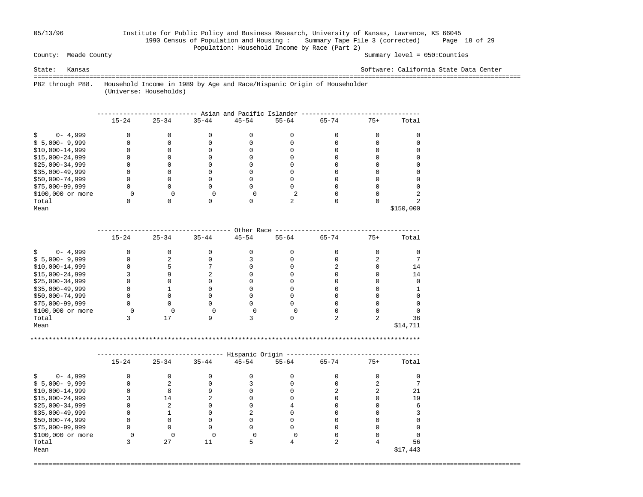## 05/13/96 Institute for Public Policy and Business Research, University of Kansas, Lawrence, KS 66045 1990 Census of Population and Housing : Summary Tape File 3 (corrected) Page 18 of 29 Population: Household Income by Race (Part 2)<br>County: Meade County

Summary level =  $050$ : Counties

State: Kansas Software: California State Data Center

 =================================================================================================================================== P82 through P88. Household Income in 1989 by Age and Race/Hispanic Origin of Householder

(Universe: Households)

|                   | Asian and Pacific Islander |           |           |           |           |           |       |           |  |  |  |  |  |
|-------------------|----------------------------|-----------|-----------|-----------|-----------|-----------|-------|-----------|--|--|--|--|--|
|                   | $15 - 24$                  | $25 - 34$ | $35 - 44$ | $45 - 54$ | $55 - 64$ | $65 - 74$ | $75+$ | Total     |  |  |  |  |  |
| $0 - 4,999$       |                            |           |           |           |           |           |       |           |  |  |  |  |  |
| $$5,000-9,999$    |                            |           |           |           |           |           |       |           |  |  |  |  |  |
| $$10,000-14,999$  |                            |           |           |           |           |           |       |           |  |  |  |  |  |
| $$15,000-24,999$  |                            |           |           |           |           |           |       |           |  |  |  |  |  |
| $$25,000-34,999$  |                            |           |           |           |           |           |       |           |  |  |  |  |  |
| $$35,000-49,999$  |                            |           |           |           |           |           |       |           |  |  |  |  |  |
| \$50,000-74,999   |                            |           |           |           |           |           |       |           |  |  |  |  |  |
| $$75,000-99,999$  |                            |           |           |           |           |           |       |           |  |  |  |  |  |
| \$100,000 or more |                            |           |           |           |           |           |       |           |  |  |  |  |  |
| Total             |                            |           |           |           |           |           |       |           |  |  |  |  |  |
| Mean              |                            |           |           |           |           |           |       | \$150,000 |  |  |  |  |  |

|                   |           |           |           | Other Race |           |           |       |          |
|-------------------|-----------|-----------|-----------|------------|-----------|-----------|-------|----------|
|                   | $15 - 24$ | $25 - 34$ | $35 - 44$ | $45 - 54$  | $55 - 64$ | $65 - 74$ | $75+$ | Total    |
| $0 - 4,999$       |           |           |           |            |           |           |       |          |
| $$5,000-9,999$    |           |           |           |            |           |           |       |          |
| $$10,000-14,999$  |           |           |           |            |           |           |       | 14       |
| $$15,000-24,999$  |           |           |           |            |           |           |       | 14       |
| $$25,000-34,999$  |           |           |           |            |           |           |       |          |
| $$35,000-49,999$  |           |           |           |            |           |           |       |          |
| \$50,000-74,999   |           |           |           |            |           |           |       |          |
| \$75,000-99,999   |           |           |           |            |           |           |       |          |
| \$100,000 or more |           |           |           |            |           |           |       |          |
| Total             |           |           |           |            |           |           |       | 36       |
| Mean              |           |           |           |            |           |           |       | \$14,711 |

\*\*\*\*\*\*\*\*\*\*\*\*\*\*\*\*\*\*\*\*\*\*\*\*\*\*\*\*\*\*\*\*\*\*\*\*\*\*\*\*\*\*\*\*\*\*\*\*\*\*\*\*\*\*\*\*\*\*\*\*\*\*\*\*\*\*\*\*\*\*\*\*\*\*\*\*\*\*\*\*\*\*\*\*\*\*\*\*\*\*\*\*\*\*\*\*\*\*\*\*\*\*\*\*\*

|                   | Hispanic Origin |           |           |           |           |           |       |          |  |  |  |
|-------------------|-----------------|-----------|-----------|-----------|-----------|-----------|-------|----------|--|--|--|
|                   | $15 - 24$       | $25 - 34$ | $35 - 44$ | $45 - 54$ | $55 - 64$ | $65 - 74$ | $75+$ | Total    |  |  |  |
| $0 - 4,999$       |                 |           |           |           |           |           |       |          |  |  |  |
| $$5,000-9,999$    |                 |           |           |           |           |           |       |          |  |  |  |
| $$10,000-14,999$  |                 |           |           |           |           |           |       | 21       |  |  |  |
| $$15,000-24,999$  |                 | 14        |           |           |           |           |       | 19       |  |  |  |
| $$25,000-34,999$  |                 |           |           |           |           |           |       |          |  |  |  |
| $$35,000-49,999$  |                 |           |           |           |           |           |       |          |  |  |  |
| \$50,000-74,999   |                 |           |           |           |           |           |       |          |  |  |  |
| \$75,000-99,999   |                 |           |           |           |           |           |       |          |  |  |  |
| \$100,000 or more |                 |           |           |           |           |           |       |          |  |  |  |
| Total             |                 | 27        |           |           |           |           |       | 56       |  |  |  |
| Mean              |                 |           |           |           |           |           |       | \$17,443 |  |  |  |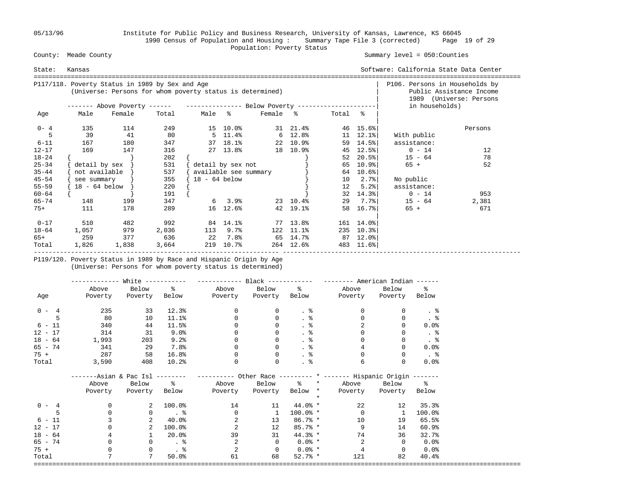05/13/96 Institute for Public Policy and Business Research, University of Kansas, Lawrence, KS 66045 1990 Census of Population and Housing : Summary Tape File 3 (corrected) Page 19 of 29 County: Meade County **Example 2018** Population: Poverty Status County: Meade County

### Summary level =  $050$ : Counties

| State:    | Kansas        |                                                                                                              |       |                 |                           | Software: California State Data Center |                            |         |                              |                                |                                                     |
|-----------|---------------|--------------------------------------------------------------------------------------------------------------|-------|-----------------|---------------------------|----------------------------------------|----------------------------|---------|------------------------------|--------------------------------|-----------------------------------------------------|
|           |               | P117/118. Poverty Status in 1989 by Sex and Age<br>(Universe: Persons for whom poverty status is determined) |       |                 |                           |                                        |                            |         |                              | P106. Persons in Households by | Public Assistance Income<br>1989 (Universe: Persons |
|           |               | ------- Above Poverty ------ ---------------- Below Poverty --------------------                             |       |                 |                           |                                        |                            |         |                              | in households)                 |                                                     |
| Age       | Male          | Female                                                                                                       | Total | Male %          |                           | Female %                               |                            | Total % |                              |                                |                                                     |
| $0 - 4$   | 135           | 114                                                                                                          | 249   |                 | 15 10.0%                  |                                        | 31 21.4%                   |         | 46 15.6%                     |                                | Persons                                             |
|           | 39            | 41                                                                                                           | 80    |                 |                           | $5 \t11.4$ $*$                         | $6\quad 12.8$ <sup>2</sup> |         | $11 \quad 12.1$ <sup>8</sup> | With public                    |                                                     |
| $6 - 11$  | 167           | 180                                                                                                          | 347   |                 | 37 18.1%                  |                                        | 22 10.9%                   |         | 59 14.5%                     | assistance:                    |                                                     |
| $12 - 17$ | 169           | 147                                                                                                          | 316   |                 | 27 13.8%                  |                                        | 18 10.9%                   | 45      | $12.5$ $8$                   | $0 - 14$                       | 12                                                  |
| $18 - 24$ |               |                                                                                                              | 202   |                 |                           |                                        |                            | 52      | $20.5$ °                     | $15 - 64$                      | 78                                                  |
| $25 - 34$ |               | $\delta$ detail by sex $\}$                                                                                  | 531   |                 | detail by sex not         |                                        |                            |         | 65 10.9%                     | 65 +                           | 52                                                  |
| $35 - 44$ | not available |                                                                                                              | 537   |                 | available see summary     |                                        |                            |         | 64 10.6%                     |                                |                                                     |
| $45 - 54$ | see summary   |                                                                                                              | 355   | $18 - 64$ below |                           |                                        |                            | 10      | $2.7$ °                      | No public                      |                                                     |
| $55 - 59$ | 18 - 64 below |                                                                                                              | 220   |                 |                           |                                        |                            | 12      | 5.2%                         | assistance:                    |                                                     |
| $60 - 64$ |               |                                                                                                              | 191   |                 |                           |                                        |                            |         | $32 \quad 14.3$ <sup>8</sup> | $0 - 14$                       | 953                                                 |
| $65 - 74$ | 148           | 199                                                                                                          | 347   |                 | $6\quad 3.9$ <sup>2</sup> |                                        | 23 10.4%                   |         |                              | $29 \t 7.7\$ $15 - 64$         | 2,381                                               |
| $75+$     | 111           | 178                                                                                                          | 289   |                 | 16 12.6%                  |                                        | 42 19.1%                   | 58      | 16.7%                        | $65 +$                         | 671                                                 |
| $0 - 17$  | 510           | 482                                                                                                          | 992   |                 | 84 14.1%                  |                                        | 77 13.8%                   |         | 161 14.0%                    |                                |                                                     |
| 18-64     | 1,057         | 979                                                                                                          | 2,036 | 113             | 9.7%                      |                                        | 122 11.1%                  |         | $235 \quad 10.3\%$           |                                |                                                     |
| 65+       | 259           | 377                                                                                                          | 636   | 22              | 7.8%                      |                                        | 65 14.7%                   |         | 87 12.0%                     |                                |                                                     |
| Total     | 1,826         | 1,838                                                                                                        | 3,664 |                 | 219 10.7%                 |                                        | 264 12.6%                  |         | 483 11.6%                    |                                |                                                     |

 P119/120. Poverty Status in 1989 by Race and Hispanic Origin by Age (Universe: Persons for whom poverty status is determined)

|           |                               | White $-----$ |           | ------------ Black ------------ |                         | $------$ American Indian $---$ |                                                                  |                |                      |
|-----------|-------------------------------|---------------|-----------|---------------------------------|-------------------------|--------------------------------|------------------------------------------------------------------|----------------|----------------------|
|           | Above                         | Below %       |           |                                 | Above Below %           |                                | Above                                                            | Below          | $\frac{1}{6}$        |
| Age       | Poverty                       | Poverty       |           | Below Poverty Poverty Below     |                         |                                | Poverty                                                          | Poverty Below  |                      |
| $0 - 4$   | 235                           | 33            | 12.3%     | $\overline{0}$                  | 0                       | . 응                            | $\Omega$                                                         | $\Omega$       |                      |
| 5         | 80                            | 10            | 11.1%     | 0                               | 0                       | $\frac{8}{3}$                  | $\Omega$                                                         | $\Omega$       |                      |
| $6 - 11$  | 340                           | 44            | 11.5%     |                                 | 0                       | $\frac{8}{3}$                  |                                                                  | 0              | $0.0$ $8$            |
| $12 - 17$ | 314                           | 31            | 9.0%      |                                 | $\Omega$                | $\frac{8}{10}$                 |                                                                  |                | . $\frac{6}{6}$      |
| $18 - 64$ | 1,993                         | 203           | 9.2%      | $\Omega$                        | $\Omega$                | . $\frac{6}{6}$                |                                                                  |                | . $\frac{6}{6}$      |
| $65 - 74$ | 341                           | 29            | 7.8%      | $\Omega$                        |                         |                                |                                                                  |                | 0.0%                 |
| $75 +$    | 287                           | 58            | 16.8%     | $\Omega$                        | 0                       | . 응                            | $\Omega$                                                         | $\Omega$       | $\ddot{\phantom{1}}$ |
| Total     | 3,590                         | 408           | 10.2%     | $\mathbf{0}$                    | 0                       |                                | 6                                                                |                | 0.0%                 |
|           | -----Asian & Pac Isl -------- |               |           |                                 |                         |                                | --------- Other Race --------- * ------- Hispanic Origin ------- |                |                      |
|           | Above                         | Below %       |           |                                 |                         |                                | Above Below % * Above Below %                                    |                |                      |
|           | Poverty                       | Poverty Below |           |                                 | Poverty Poverty Below * |                                | Poverty                                                          | Poverty Below  |                      |
| $0 - 4$   | $\Omega$                      | 2             | $100.0\%$ | 14                              | 11                      | $\star$<br>44.0% *             | 22                                                               | 12             | 35.3%                |
|           | $\Omega$                      | $\mathbf{0}$  | $\ddotsc$ | $\Omega$                        | $\mathbf{1}$            | $100.0%$ *                     | $\Omega$                                                         | $\mathbf{1}$   | 100.0%               |
| $6 - 11$  |                               | 2             | $40.0\%$  | $\overline{a}$                  | 13                      | 86.7% *                        | 10                                                               | 19             | 65.5%                |
| $12 - 17$ |                               | 2             | 100.0%    | 2                               | 12                      | 85.7% *                        | 9                                                                | 14             | 60.9%                |
| $18 - 64$ | 4                             |               | 20.0%     | 39                              | 31                      | $44.3%$ *                      | 74                                                               | 36             | 32.7%                |
| 65 - 74   | $\Omega$                      | $\mathbf{0}$  | $\ddotsc$ | 2                               | $\overline{0}$          | $0.0\%$ *                      | 2                                                                | $\overline{0}$ | 0.0%                 |
| $75 +$    | $\Omega$                      | $\mathbf{0}$  | $\sim$ 8  | $\overline{2}$                  | $\overline{0}$          | $0.0\%$ *                      | 4                                                                | $\Omega$       | $0.0$ %              |
| Total     | 7                             | 7             | 50.0%     | 61                              | 68                      | $52.7%$ *                      | 121                                                              | 82             | 40.4%                |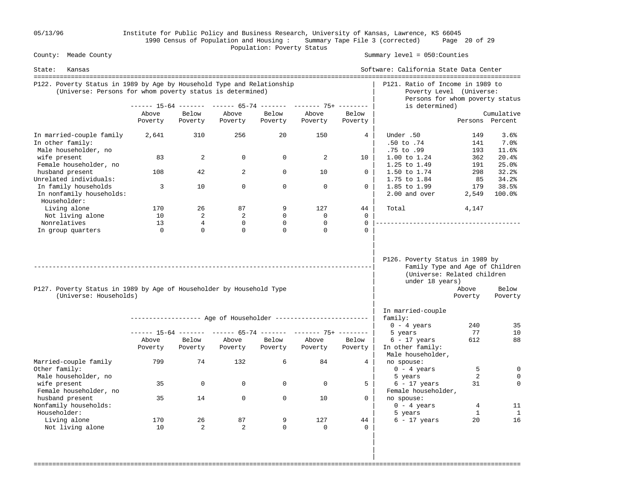05/13/96 Institute for Public Policy and Business Research, University of Kansas, Lawrence, KS 66045 1990 Census of Population and Housing : Summary Tape File 3 (corrected) Page 20 of 29 County: Meade County **Example 2018** Population: Poverty Status County: Meade County

Summary level =  $050$ : Counties

| State:<br>Kansas                                                                                                                    |          |                |                |             |                                                                |                 | Software: California State Data Center                                                                               |                   |                   |
|-------------------------------------------------------------------------------------------------------------------------------------|----------|----------------|----------------|-------------|----------------------------------------------------------------|-----------------|----------------------------------------------------------------------------------------------------------------------|-------------------|-------------------|
| P122. Poverty Status in 1989 by Age by Household Type and Relationship<br>(Universe: Persons for whom poverty status is determined) |          |                |                |             |                                                                |                 | P121. Ratio of Income in 1989 to<br>Poverty Level (Universe:<br>Persons for whom poverty status                      |                   |                   |
|                                                                                                                                     |          |                |                |             | ------ 15-64 ------- ------ 65-74 ------- ------- 75+ -------- |                 | is determined)                                                                                                       |                   |                   |
|                                                                                                                                     | Above    | Below          | Above          | Below       | Above                                                          | Below           |                                                                                                                      |                   | Cumulative        |
|                                                                                                                                     | Poverty  | Poverty        | Poverty        | Poverty     | Poverty                                                        | Poverty         |                                                                                                                      | Persons Percent   |                   |
| In married-couple family<br>In other family:                                                                                        | 2,641    | 310            | 256            | 20          | 150                                                            | $4\overline{ }$ | Under .50<br>.50 to .74                                                                                              | 149<br>141        | 3.6%<br>$7.0$ $8$ |
| Male householder, no                                                                                                                |          |                |                |             |                                                                |                 | .75 to .99                                                                                                           | 193               | 11.6%             |
| wife present                                                                                                                        | 83       | 2              | $\Omega$       | $\Omega$    | $\overline{2}$                                                 | 10              | 1.00 to 1.24                                                                                                         | 362               | 20.4%             |
| Female householder, no                                                                                                              |          |                |                |             |                                                                |                 | 1.25 to 1.49                                                                                                         | 191               | 25.0%             |
| husband present                                                                                                                     | 108      | 42             | $\overline{a}$ | $\mathbf 0$ | 10                                                             | $\mathbf{0}$    | 1.50 to 1.74                                                                                                         | 298               | 32.2%             |
| Unrelated individuals:                                                                                                              |          |                |                |             |                                                                |                 | 1.75 to 1.84                                                                                                         | 85                | 34.2%             |
| In family households                                                                                                                | 3        | 10             | $\Omega$       | $\Omega$    | $\Omega$                                                       | $\Omega$        | 1.85 to 1.99                                                                                                         | 179               | 38.5%             |
| In nonfamily households:<br>Householder:                                                                                            |          |                |                |             |                                                                |                 | 2.00 and over                                                                                                        | 2,549             | 100.0%            |
| Living alone                                                                                                                        | 170      | 26             | 87             | 9           | 127                                                            | 44              | Total                                                                                                                | 4,147             |                   |
| Not living alone                                                                                                                    | 10       | $\overline{2}$ | 2              | $\Omega$    | $\Omega$                                                       | $\Omega$        |                                                                                                                      |                   |                   |
| Nonrelatives                                                                                                                        | 13       | $\overline{4}$ | $\mathbf 0$    | $\mathbf 0$ | $\mathbf 0$                                                    | $\Omega$        | ______________________________________                                                                               |                   |                   |
| In group quarters                                                                                                                   | $\Omega$ | $\Omega$       | $\Omega$       | $\Omega$    | $\Omega$                                                       | $\cap$          |                                                                                                                      |                   |                   |
| P127. Poverty Status in 1989 by Age of Householder by Household Type<br>(Universe: Households)                                      |          |                |                |             |                                                                |                 | P126. Poverty Status in 1989 by<br>Family Type and Age of Children<br>(Universe: Related children<br>under 18 years) | Above<br>Poverty  | Below<br>Poverty  |
|                                                                                                                                     |          |                |                |             |                                                                |                 | In married-couple                                                                                                    |                   |                   |
|                                                                                                                                     |          |                |                |             | ------------------ Age of Householder ------------------------ |                 | family:                                                                                                              |                   |                   |
|                                                                                                                                     |          |                |                |             |                                                                |                 | $0 - 4$ years                                                                                                        | 240               | 35                |
|                                                                                                                                     |          |                |                |             | ------ 15-64 ------- ------ 65-74 ------- ------- 75+ -------- |                 | 5 years                                                                                                              | 77                | 10                |
|                                                                                                                                     | Above    | Below          | Above          | Below       | Above                                                          | Below           | $6 - 17$ years                                                                                                       | 612               | 88                |
|                                                                                                                                     | Poverty  | Poverty        | Poverty        | Poverty     | Poverty                                                        | Poverty         | In other family:<br>Male householder,                                                                                |                   |                   |
| Married-couple family<br>Other family:                                                                                              | 799      | 74             | 132            | 6           | 84                                                             | 4               | no spouse:<br>$0 - 4 \text{ years}$                                                                                  | 5                 | $\mathbf 0$       |
| Male householder, no                                                                                                                |          |                |                |             |                                                                |                 | 5 years                                                                                                              | 2                 | $\mathbf 0$       |
| wife present                                                                                                                        | 35       | $\mathbf 0$    | 0              | $\Omega$    | $\Omega$                                                       | 5               | $6 - 17$ years                                                                                                       | 31                | $\Omega$          |
| Female householder, no                                                                                                              |          |                |                |             |                                                                |                 | Female householder,                                                                                                  |                   |                   |
| husband present                                                                                                                     | 35       | 14             | $\Omega$       | $\Omega$    | 10                                                             | $\Omega$        | no spouse:                                                                                                           |                   |                   |
| Nonfamily households:<br>Householder:                                                                                               |          |                |                |             |                                                                |                 | $0 - 4 \text{ years}$<br>5 years                                                                                     | 4<br>$\mathbf{1}$ | 11<br>1           |
| Living alone                                                                                                                        | 170      | 26             | 87             | 9           | 127                                                            | 44              | $6 - 17$ years                                                                                                       | 20                | 16                |
| Not living alone                                                                                                                    | 10       | 2              | 2              | $\Omega$    | $\Omega$                                                       | $\Omega$        |                                                                                                                      |                   |                   |
|                                                                                                                                     |          |                |                |             |                                                                |                 |                                                                                                                      |                   |                   |

===================================================================================================================================

 | | |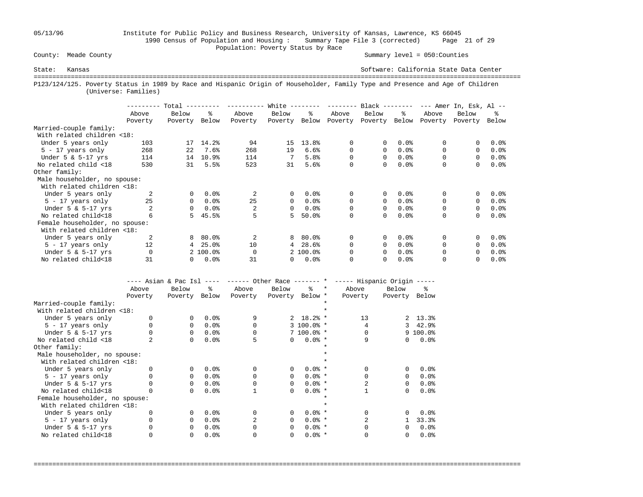## 05/13/96 Institute for Public Policy and Business Research, University of Kansas, Lawrence, KS 66045 1990 Census of Population and Housing : Summary Tape File 3 (corrected) Page 21 of 29 Population: Poverty Status by Race<br>
County: Meade County

Summary level =  $050$ : Counties

State: Kansas Software: California State Data Center =================================================================================================================================== P123/124/125. Poverty Status in 1989 by Race and Hispanic Origin of Householder, Family Type and Presence and Age of Children (Universe: Families)

|                                |          | Total    |          |                | White $-$    |           | --------- | $Black$ -------- |         |          | $---$ Amer In, Esk, Al $---$ |         |
|--------------------------------|----------|----------|----------|----------------|--------------|-----------|-----------|------------------|---------|----------|------------------------------|---------|
|                                | Above    | Below    | °≈       | Above          | Below        | ዱ         | Above     | Below            | ႜ       | Above    | Below                        | ፠       |
|                                | Poverty  | Poverty  | Below    | Poverty        | Poverty      | Below     | Poverty   | Poverty          | Below   | Poverty  | Poverty                      | Below   |
| Married-couple family:         |          |          |          |                |              |           |           |                  |         |          |                              |         |
| With related children <18:     |          |          |          |                |              |           |           |                  |         |          |                              |         |
| Under 5 years only             | 103      | 17       | 14.2%    | 94             | 15           | 13.8%     | 0         | 0                | 0.0%    | 0        |                              | $0.0$ % |
| $5 - 17$ years only            | 268      | 22       | 7.6%     | 268            | 19           | 6.6%      | 0         | $\Omega$         | 0.0%    | $\Omega$ | $\Omega$                     | $0.0$ % |
| Under $5 \& 5-17$ yrs          | 114      | 14       | 10.9%    | 114            | 7            | 5.8%      | 0         | 0                | 0.0%    |          | $\Omega$                     | $0.0$ % |
| No related child <18           | 530      | 31       | 5.5%     | 523            | 31           | 5.6%      | 0         | 0                | 0.0%    | 0        | 0                            | 0.0%    |
| Other family:                  |          |          |          |                |              |           |           |                  |         |          |                              |         |
| Male householder, no spouse:   |          |          |          |                |              |           |           |                  |         |          |                              |         |
| With related children <18:     |          |          |          |                |              |           |           |                  |         |          |                              |         |
| Under 5 years only             |          | $\Omega$ | 0.0%     |                | $\mathbf{0}$ | 0.0%      | 0         | 0                | $0.0$ % | 0        | 0                            | $0.0$ % |
| $5 - 17$ years only            | 25       | 0        | 0.0%     | 25             | $\Omega$     | $0.0$ $8$ | 0         | $\Omega$         | 0.0%    | $\Omega$ | $\Omega$                     | $0.0$ % |
| Under $5 \& 5-17$ yrs          |          | 0        | $0.0$ %  |                | $\Omega$     | $0.0$ $8$ | 0         | 0                | 0.0%    | 0        | $\Omega$                     | $0.0$ % |
| No related child<18            | 6        | 5.       | 45.5%    | 5              | 5.           | 50.0%     | 0         | 0                | 0.0%    | $\Omega$ | $\Omega$                     | 0.0%    |
| Female householder, no spouse: |          |          |          |                |              |           |           |                  |         |          |                              |         |
| With related children <18:     |          |          |          |                |              |           |           |                  |         |          |                              |         |
| Under 5 years only             | 2        | 8        | $80.0$ ° | $\mathfrak{D}$ | 8            | $80.0\%$  | 0         | 0                | 0.0%    | $\Omega$ |                              | $0.0$ % |
| $5 - 17$ years only            | 12       | 4        | 25.0%    | 10             | 4            | 28.6%     | $\Omega$  | 0                | 0.0%    |          | $\Omega$                     | $0.0$ % |
| Under $5 \& 5-17$ yrs          | $\Omega$ |          | 2 100.0% | $\Omega$       |              | 2 100.0%  | 0         | 0                | 0.0%    | 0        | $\Omega$                     | 0.0%    |
| No related child<18            | 31       |          | 0.0%     | 31             | 0            | 0.0%      | $\Omega$  | 0                | 0.0%    |          |                              | $0.0$ % |

|                                | ---- Asian & Pac Isl |          | $- - - - -$ | ------ Other Race ------- * |                 |               |         | ----- Hispanic Origin ----- |              |                        |
|--------------------------------|----------------------|----------|-------------|-----------------------------|-----------------|---------------|---------|-----------------------------|--------------|------------------------|
|                                | Above                | Below    | ៖           | Above                       | Below           | °≈            | $\star$ | Above                       | Below        | ⊱                      |
|                                | Poverty              | Poverty  | Below       | Poverty                     | Poverty Below * |               |         | Poverty                     | Poverty      | Below                  |
| Married-couple family:         |                      |          |             |                             |                 |               |         |                             |              |                        |
| With related children <18:     |                      |          |             |                             |                 |               |         |                             |              |                        |
| Under 5 years only             |                      | $\Omega$ | 0.0%        | 9                           |                 | $2, 18.2$ *   |         | 13                          |              | $2, 13.3$ <sup>2</sup> |
| $5 - 17$ years only            |                      | 0        | 0.0%        | $\Omega$                    |                 | $3,100.0$ *   |         |                             | 3            | 42.9%                  |
| Under $5 \& 5-17$ yrs          |                      | $\Omega$ | 0.0%        |                             |                 | $7,100.0$ % * |         |                             |              | $9,100.0$ %            |
| No related child <18           |                      | 0        | 0.0%        |                             | $\Omega$        | $0.0%$ *      |         | 9                           | $\Omega$     | 0.0%                   |
| Other family:                  |                      |          |             |                             |                 |               |         |                             |              |                        |
| Male householder, no spouse:   |                      |          |             |                             |                 |               |         |                             |              |                        |
| With related children <18:     |                      |          |             |                             |                 |               |         |                             |              |                        |
| Under 5 years only             |                      | $\Omega$ | 0.0%        | $\Omega$                    | 0               | $0.0%$ *      |         |                             | $\Omega$     | 0.0%                   |
| $5 - 17$ years only            |                      | 0        | 0.0%        |                             | $\Omega$        | $0.0%$ *      |         |                             | $\Omega$     | 0.0%                   |
| Under $5 \& 5-17$ yrs          |                      | 0        | 0.0%        |                             | $\Omega$        | $0.0%$ *      |         |                             | $\Omega$     | 0.0%                   |
| No related child<18            |                      | $\Omega$ | 0.0%        |                             | 0               | $0.0%$ *      |         |                             | 0            | 0.0%                   |
| Female householder, no spouse: |                      |          |             |                             |                 |               |         |                             |              |                        |
| With related children <18:     |                      |          |             |                             |                 |               |         |                             |              |                        |
| Under 5 years only             |                      | $\Omega$ | 0.0%        | $\Omega$                    | 0               | $0.0%$ *      |         |                             | $\Omega$     | 0.0%                   |
| 5 - 17 years only              |                      | $\Omega$ | 0.0%        |                             | 0               | $0.0%$ *      |         |                             |              | 33.3%                  |
| Under $5 \& 5-17$ yrs          |                      | $\Omega$ | 0.0%        |                             | 0               | $0.0%$ *      |         |                             | <sup>0</sup> | 0.0%                   |
| No related child<18            |                      | 0        | 0.0%        |                             | 0               | $0.0%$ *      |         |                             | 0            | 0.0%                   |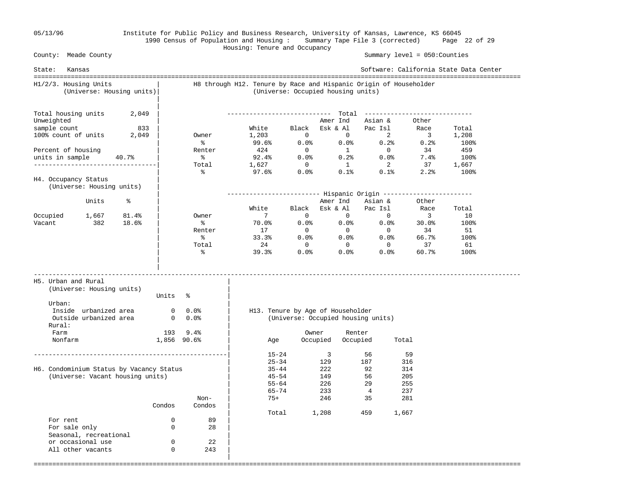### 05/13/96 Institute for Public Policy and Business Research, University of Kansas, Lawrence, KS 66045 1990 Census of Population and Housing : Summary Tape File 3 (corrected) Page 22 of 29 Housing: Tenure and Occupancy

 County: Meade County Summary level = 050:Counties State: Kansas Software: California State Data Center =================================================================================================================================== H1/2/3. Housing Units | H8 through H12. Tenure by Race and Hispanic Origin of Householder (Universe: Housing units)| (Universe: Occupied housing units) | Total housing units  $2,049$  Total housing units 2,049 | ---------------------------- Total ----------------------------- Unweighted | Amer Ind Asian & Other<br>
sample count 833 | Mhite Black Esk & Al Pac Isl Race<br>
100% count of units 2,049 | Owner 1,203 0 0 2 3 sample count 833 | White Black Esk & Al Pac Isl Race Total 100% count of units 2,049 | Owner 1,203 0 0 2 3 1,208 | % 99.6% 0.0% 0.0% 0.2% 0.2% 100% Percent of housing  $\vert$  Renter  $424$  0 1 0 34 459 units in sample 40.7% | % 92.4% 0.0% 0.2% 0.0% 7.4% 100% ---------------------------------| Total 1,627 0 1 2 37 1,667 | % 97.6% 0.0% 0.1% 0.1% 2.2% 100% H4. Occupancy Status (Universe: Housing units) | | ------------------------- Hispanic Origin ------------------------ Units % | Amer Ind Asian & Other | White Black Esk & Al Pac Isl Race Total Occupied 1,667 81.4% | Owner 7 0 0 0 3 10 Vacant 382 18.6% | % 70.0% 0.0% 0.0% 0.0% 30.0% 100% | Renter 17 0 0 0 34 51  $\sim$  8 33.3% 0.0% 0.0% 66.7% 100% | Total 24 0 0 0 37 61  $\sim$  8 39.3% 0.0% 0.0% 60.7% 100% | | ----------------------------------------------------------------------------------------------------------------------------------- H5. Urban and Rural | (Universe: Housing units) | Units % Urban:  $\qquad \qquad \blacksquare$  Inside urbanized area 0 0.0% | H13. Tenure by Age of Householder Outside urbanized area 0 0.0% | (Universe: Occupied housing units) Rural: Farm 193 9.4% | Owner Renter Nonfarm 1,856 90.6% | Age Occupied Occupied Total | ----------------------------------------------------| 15-24 3 56 59  $\begin{array}{|c|c|c|c|c|c|}\n\hline\n\text{25--34} & \text{129} & \text{187} & \text{316} \\
\hline\n\end{array}$ H6. Condominium Status by Vacancy Status | 35-44 222 92 314 (Universe: Vacant housing units) | 45-54 149 56 205  $\vert$  55-64 226 29 255  $|$  65-74 233 4 237 Non-  $\vert$  75+ 246 35 281 Condos Condos | | Total 1,208 459 1,667 For rent 0 89<br>For sale only 0 89 For sale only 0 28 | Seasonal, recreational or occasional use  $0$  22<br>
all other vacants  $0$  243 All other vacants 0 |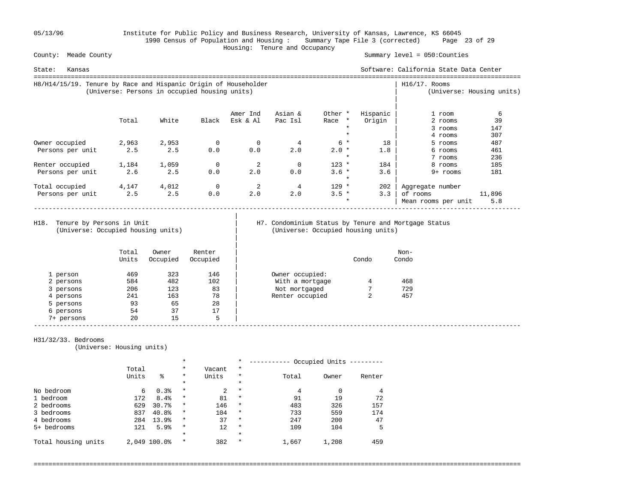05/13/96 Institute for Public Policy and Business Research, University of Kansas, Lawrence, KS 66045 1990 Census of Population and Housing : Summary Tape File 3 (corrected) Page 23 of 29 Housing: Tenure and Occupancy

Summary level =  $050$ : Counties

| State:<br>Kansas                                                |                                               |       |             |          |          |                    |          | Software: California State Data Center |                           |
|-----------------------------------------------------------------|-----------------------------------------------|-------|-------------|----------|----------|--------------------|----------|----------------------------------------|---------------------------|
| H8/H14/15/19. Tenure by Race and Hispanic Origin of Householder | (Universe: Persons in occupied housing units) |       |             |          |          |                    |          | $H16/17$ . Rooms                       | (Universe: Housing units) |
|                                                                 |                                               |       |             | Amer Ind | Asian &  | Other *            | Hispanic | 1 room                                 | 6                         |
|                                                                 | Total                                         | White | Black       | Esk & Al | Pac Isl  | Race *             | Origin   | 2 rooms                                | 39                        |
|                                                                 |                                               |       |             |          |          | $\star$            |          | 3 rooms                                | 147                       |
|                                                                 |                                               |       |             |          |          |                    |          | 4 rooms                                | 307                       |
| Owner occupied                                                  | 2,963                                         | 2,953 | 0           | $\Omega$ |          | $6*$               | 18       | 5 rooms                                | 487                       |
| Persons per unit                                                | 2.5                                           | 2.5   | 0.0         | 0.0      | 2.0      | $2.0*$             | 1.8      | 6 rooms                                | 461                       |
|                                                                 |                                               |       |             |          |          | $\star$            |          | 7 rooms                                | 236                       |
| Renter occupied                                                 | 1,184                                         | 1,059 | 0           | 2        | $\Omega$ | $123 *$            | 184      | 8 rooms                                | 185                       |
| Persons per unit                                                | 2.6                                           | 2.5   | 0.0         | 2.0      | 0.0      | $3.6 *$<br>$\star$ | 3.6      | 9+ rooms                               | 181                       |
| Total occupied                                                  | 4,147                                         | 4,012 | $\mathbf 0$ | 2        | 4        | $129 *$            | 202      | Aggregate number                       |                           |
| Persons per unit                                                | 2.5                                           | 2.5   | 0.0         | 2.0      | 2.0      | $3.5 *$            | 3.3      | of rooms                               | 11,896                    |
|                                                                 |                                               |       |             |          |          | $\star$            |          | Mean rooms per unit                    | 5.8                       |

(Universe: Occupied housing units) | (Universe: Occupied housing units)

|

|

# H18. Tenure by Persons in Unit | H7. Condominium Status by Tenure and Mortgage Status (Universe: Occupied housing units)

|            | Total<br>Units | Owner<br>Occupied | Renter<br>Occupied |                 | Condo       | Non-<br>Condo |
|------------|----------------|-------------------|--------------------|-----------------|-------------|---------------|
| 1 person   | 469            | 323               | 146                | Owner occupied: |             |               |
| 2 persons  | 584            | 482               | 102                | With a mortgage | 4           | 468           |
| 3 persons  | 206            | 123               | 83                 | Not mortgaged   |             | 729           |
| 4 persons  | 241            | 163               | 78                 | Renter occupied | $\sim$<br>∠ | 457           |
| 5 persons  | 93             | 65                | 28                 |                 |             |               |
| 6 persons  | 54             | 37                | 17                 |                 |             |               |
| 7+ persons | 20             | 15                | 5                  |                 |             |               |

### H31/32/33. Bedrooms

(Universe: Housing units)

|                     | $^\star$ |              |          |        | $\star$ |       | Occupied Units |        |
|---------------------|----------|--------------|----------|--------|---------|-------|----------------|--------|
|                     | Total    |              | $\star$  | Vacant | $\ast$  |       |                |        |
|                     | Units    | ៖            | $\ast$   | Units  | $\star$ | Total | Owner          | Renter |
|                     |          |              | $\star$  |        | $\star$ |       |                |        |
| No bedroom          | 6        | 0.3%         | $\star$  | 2      | $\star$ | 4     |                |        |
| 1 bedroom           | 172      | 8.4%         | $\star$  | 81     | $\star$ | 91    | 19             | 72     |
| 2 bedrooms          | 629      | 30.7%        | $\star$  | 146    | $\star$ | 483   | 326            | 157    |
| 3 bedrooms          | 837      | 40.8%        | $\star$  | 104    | $\star$ | 733   | 559            | 174    |
| 4 bedrooms          | 284      | 13.9%        | $\star$  | 37     | $\star$ | 247   | 200            | 47     |
| 5+ bedrooms         | 121      | 5.9%         | $\star$  | 12     | $\star$ | 109   | 104            | 5      |
|                     |          |              | $^\star$ |        | $\star$ |       |                |        |
| Total housing units |          | 2,049 100.0% | $\star$  | 382    | $\star$ | 1,667 | 1,208          | 459    |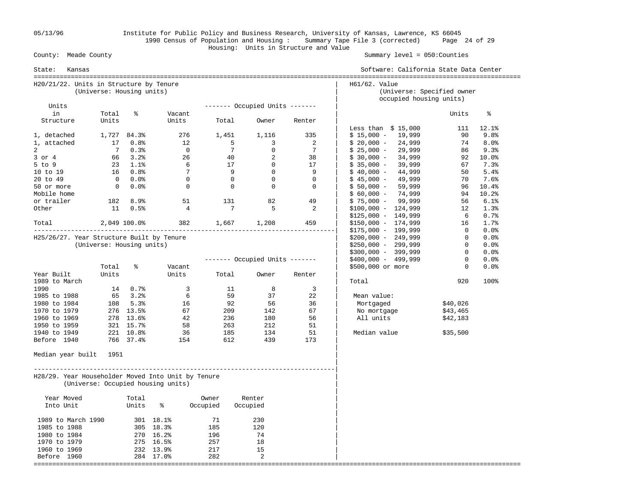05/13/96 Institute for Public Policy and Business Research, University of Kansas, Lawrence, KS 66045 1990 Census of Population and Housing : Summary Tape File 3 (corrected) Page 24 of 29 Housing: Units in Structure and Value County: Meade County

| State:<br>Kansas                                   | Software: California State Data Center |                         |                                    |                            |                 |                                |                            |                            |                |          |  |  |
|----------------------------------------------------|----------------------------------------|-------------------------|------------------------------------|----------------------------|-----------------|--------------------------------|----------------------------|----------------------------|----------------|----------|--|--|
| H20/21/22. Units in Structure by Tenure            | (Universe: Housing units)              |                         |                                    |                            |                 |                                | H61/62. Value              | (Universe: Specified owner |                |          |  |  |
|                                                    |                                        |                         |                                    |                            |                 |                                |                            | occupied housing units)    |                |          |  |  |
| Units<br>in                                        | Total                                  | ႜ                       | Vacant                             |                            |                 | ------- Occupied Units ------- |                            |                            | Units          | နွ       |  |  |
| Structure                                          | Units                                  |                         | Units                              | Total                      | Owner           | Renter                         |                            |                            |                |          |  |  |
|                                                    |                                        |                         |                                    |                            |                 |                                |                            | Less than $$15,000$        | 111            | 12.1%    |  |  |
| 1, detached                                        |                                        | 1,727 84.3%             | 276                                | 1,451                      | 1,116           | 335                            |                            | $$15,000 - 19,999$         | 90             | 9.8%     |  |  |
| 1, attached                                        | 17                                     | $0.8\%$                 | 12                                 | $\overline{\phantom{0}}$ 5 |                 | 3                              | 2                          | $$20,000 - 24,999$         | 74             | 8.0%     |  |  |
| $\overline{a}$                                     | 7                                      | 0.3%                    | $\overline{0}$                     |                            | $7\overline{ }$ | $\mathbf 0$                    | 7<br>$$25,000 -$           | 29,999                     | 86             | 9.3%     |  |  |
| $3$ or $4$                                         |                                        | 66 3.2%                 | 26                                 |                            | 40              | 2<br>38                        | $$30,000 -$                | 34,999                     |                | 92 10.0% |  |  |
| $5$ to $9$                                         |                                        | $23 \t1.1$ <sup>2</sup> | 6                                  | 17                         | $\overline{0}$  | 17                             | $$35,000 -$                | 39,999                     | 67             | 7.3%     |  |  |
| 10 to 19                                           |                                        | 16 0.8%                 | $\overline{7}$                     | - 9                        | $\overline{0}$  |                                | 9<br>$$40,000 -$           | 44,999                     | 50             | 5.4%     |  |  |
| 20 to 49                                           |                                        | $0\qquad 0.0$ %         | $\bigcirc$                         |                            | $\overline{0}$  | $\Omega$                       | $\Omega$<br>$$45,000 -$    | 49,999                     | 70             | 7.6%     |  |  |
| 50 or more                                         |                                        | $0.0$ %                 | $\overline{0}$                     |                            | $\overline{0}$  | $\overline{0}$                 | $\mathbf 0$<br>$$50,000 -$ | 59,999                     |                | 96 10.4% |  |  |
| Mobile home                                        |                                        |                         |                                    |                            |                 |                                |                            | $$60,000 - 74,999$         |                | 94 10.2% |  |  |
| or trailer                                         |                                        | 182 8.9%                | 51                                 | 131                        |                 | 82<br>49                       |                            | $$75,000 - 99,999$         | 56             | 6.1%     |  |  |
| Other                                              | 11                                     | 0.5%                    | $\overline{4}$                     |                            | $7\phantom{.0}$ | 5                              | 2                          | $$100,000 - 124,999$       | 12             | 1.3%     |  |  |
|                                                    |                                        |                         |                                    |                            |                 |                                |                            | $$125,000 - 149,999$       | 6 —            | 0.7%     |  |  |
| Total                                              |                                        |                         | 2,049 100.0% 382 1,667 1,208       |                            |                 | 459                            |                            | $$150,000 - 174,999$       | 16             | 1.7%     |  |  |
|                                                    |                                        |                         |                                    |                            |                 |                                |                            | $$175,000 - 199,999$       | $\overline{0}$ | $0.0$ %  |  |  |
| H25/26/27. Year Structure Built by Tenure          |                                        |                         |                                    |                            |                 |                                |                            | $$200,000 - 249,999$       | $\overline{0}$ | 0.0%     |  |  |
|                                                    | (Universe: Housing units)              |                         |                                    |                            |                 |                                |                            | $$250,000 - 299,999$       | $\mathbf{0}$   | 0.0%     |  |  |
|                                                    |                                        |                         |                                    |                            |                 |                                |                            | $$300,000 - 399,999$       | $\mathbf{0}$   | $0.0$ %  |  |  |
|                                                    |                                        |                         |                                    |                            |                 | ------- Occupied Units ------- |                            | \$400,000 - 499,999        | $\Omega$       | 0.0%     |  |  |
|                                                    | Total                                  | နွ                      | Vacant                             |                            |                 |                                |                            | \$500,000 or more          | $\mathbf{0}$   | 0.0%     |  |  |
| Year Built                                         | Units                                  |                         | Units                              | Total                      | Owner           | Renter                         |                            |                            |                |          |  |  |
| 1989 to March                                      |                                        |                         |                                    |                            |                 |                                | Total                      |                            | 920            | 100%     |  |  |
| 1990                                               |                                        | 14 0.7%                 | $\overline{3}$                     |                            | 11<br>59        | 8                              | $\overline{3}$             |                            |                |          |  |  |
| 1985 to 1988<br>1980 to 1984                       |                                        | 65 3.2%<br>108 5.3%     | 6<br>16                            | 92                         | 56              | 37<br>22<br>36                 | Mean value:<br>Mortgaged   |                            | \$40,026       |          |  |  |
| 1970 to 1979                                       |                                        | 276 13.5%               | 67                                 | 209                        | 142             | 67                             |                            | No mortgage                | \$43,465       |          |  |  |
| 1960 to 1969                                       |                                        | 278 13.6%               | 42                                 | 236                        | 180             | 56                             | All units                  |                            | \$42,183       |          |  |  |
| 1950 to 1959                                       |                                        | 321 15.7%               | 58                                 | 263                        | 212             | 51                             |                            |                            |                |          |  |  |
| 1940 to 1949                                       |                                        | 221 10.8%               | 36                                 | 185                        | 134             | 51                             |                            | Median value               | \$35,500       |          |  |  |
| Before 1940                                        |                                        | 766 37.4%               | 154                                | 612                        | 439             | 173                            |                            |                            |                |          |  |  |
|                                                    |                                        |                         |                                    |                            |                 |                                |                            |                            |                |          |  |  |
| Median year built                                  | 1951                                   |                         |                                    |                            |                 |                                |                            |                            |                |          |  |  |
| H28/29. Year Householder Moved Into Unit by Tenure |                                        |                         | (Universe: Occupied housing units) |                            |                 |                                |                            |                            |                |          |  |  |
| Year Moved                                         |                                        | Total                   |                                    | Owner                      | Renter          |                                |                            |                            |                |          |  |  |
| Into Unit                                          |                                        | Units                   | နွ                                 | Occupied                   | Occupied        |                                |                            |                            |                |          |  |  |
| 1989 to March 1990                                 |                                        |                         | 301 18.1%                          | 71                         | 230             |                                |                            |                            |                |          |  |  |
| 1985 to 1988                                       |                                        |                         | 305 18.3%                          | 185                        | 120             |                                |                            |                            |                |          |  |  |
| 1980 to 1984                                       |                                        |                         | 270 16.2%                          | 196                        | 74              |                                |                            |                            |                |          |  |  |
| 1970 to 1979                                       |                                        |                         | 275 16.5%                          | 257                        | 18              |                                |                            |                            |                |          |  |  |
| 1960 to 1969                                       |                                        |                         | 232 13.9%                          | 217                        | 15              |                                |                            |                            |                |          |  |  |
| Before 1960                                        |                                        |                         | 284 17.0%                          | 282                        | 2               |                                |                            |                            |                |          |  |  |
|                                                    |                                        |                         |                                    |                            |                 |                                |                            |                            |                |          |  |  |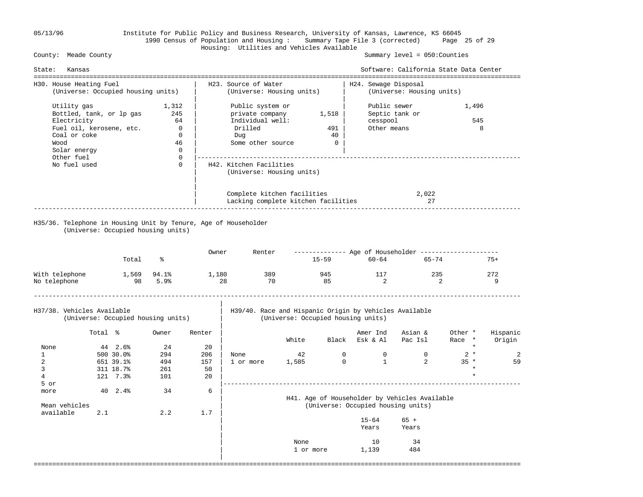## 05/13/96 Institute for Public Policy and Business Research, University of Kansas, Lawrence, KS 66045 1990 Census of Population and Housing : Summary Tape File 3 (corrected) Page 25 of 29 Housing: Utilities and Vehicles Available

### Summary level =  $050$ : Counties

| Kansas<br>State:<br>---------------------------------                                                                                                    |                                                                                            |                                                                                                 |                                                                                                                    |                                                                                        | Software: California State Data Center                    |                         |                   |
|----------------------------------------------------------------------------------------------------------------------------------------------------------|--------------------------------------------------------------------------------------------|-------------------------------------------------------------------------------------------------|--------------------------------------------------------------------------------------------------------------------|----------------------------------------------------------------------------------------|-----------------------------------------------------------|-------------------------|-------------------|
| H30. House Heating Fuel<br>(Universe: Occupied housing units)                                                                                            |                                                                                            | H23. Source of Water<br>(Universe: Housing units)                                               |                                                                                                                    | =================================<br>H24. Sewage Disposal<br>(Universe: Housing units) |                                                           |                         |                   |
| Utility gas<br>Bottled, tank, or lp gas<br>Electricity<br>Fuel oil, kerosene, etc.<br>Coal or coke<br>Wood<br>Solar energy<br>Other fuel<br>No fuel used | 1,312<br>245<br>64<br>$\Omega$<br>$\mathbf 0$<br>46<br>$\mathbf 0$<br>$\Omega$<br>$\Omega$ | Dug                                                                                             | Public system or<br>private company<br>Individual well:<br>Drilled<br>Some other source<br>H42. Kitchen Facilities | 1,518<br>491<br>40<br>$\Omega$                                                         | Public sewer<br>Septic tank or<br>cesspool<br>Other means |                         | 1,496<br>545<br>8 |
| H35/36. Telephone in Housing Unit by Tenure, Age of Householder<br>(Universe: Occupied housing units)                                                    |                                                                                            | (Universe: Housing units)<br>Complete kitchen facilities<br>Lacking complete kitchen facilities |                                                                                                                    |                                                                                        | 2,022<br>27                                               |                         |                   |
|                                                                                                                                                          |                                                                                            | Owner                                                                                           | Renter                                                                                                             |                                                                                        | ------------- Age of Householder --------------------     |                         |                   |
| Total<br>With telephone<br>1,569 94.1%<br>No telephone<br>$98$ 5.9%                                                                                      | ዱ                                                                                          | 1,180<br>28                                                                                     | 389<br>70                                                                                                          | $15 - 59$<br>945 —<br>85                                                               | 117<br>$\overline{2}$                                     | 60-64 65-74<br>235<br>2 | $75+$<br>272<br>9 |
| H37/38. Vehicles Available<br>(Universe: Occupied housing units)                                                                                         |                                                                                            |                                                                                                 | (Universe: Occupied housing units)                                                                                 |                                                                                        | H39/40. Race and Hispanic Origin by Vehicles Available    |                         |                   |

|                | Total % |           | Owner | Renter |           |           |             | Amer Ind                           | Asian &                                       | Other * |         | Hispanic |
|----------------|---------|-----------|-------|--------|-----------|-----------|-------------|------------------------------------|-----------------------------------------------|---------|---------|----------|
|                |         |           |       |        |           | White     | Black       | Esk & Al                           | Pac Isl                                       | Race *  |         | Origin   |
| None           |         | 44 2.6%   | 24    | 20     |           |           |             |                                    |                                               |         | $\star$ |          |
|                |         | 500 30.0% | 294   | 206    | None      | 42        | 0           | 0                                  | 0                                             | $2 *$   |         | 2        |
| 2              |         | 651 39.1% | 494   | 157    | 1 or more | 1,585     | $\mathbf 0$ | $\mathbf{1}$                       | 2                                             | $35 *$  |         | 59       |
|                |         | 311 18.7% | 261   | 50     |           |           |             |                                    |                                               |         | $\star$ |          |
| $\overline{4}$ |         | 121 7.3%  | 101   | 20     |           |           |             |                                    |                                               |         | $\star$ |          |
| 5 or           |         |           |       |        |           |           |             |                                    |                                               |         |         |          |
| more           | 40      | 2.4%      | 34    | 6      |           |           |             |                                    |                                               |         |         |          |
|                |         |           |       |        |           |           |             |                                    | H41. Age of Householder by Vehicles Available |         |         |          |
| Mean vehicles  |         |           |       |        |           |           |             | (Universe: Occupied housing units) |                                               |         |         |          |
| available      | 2.1     |           | 2.2   | 1.7    |           |           |             |                                    |                                               |         |         |          |
|                |         |           |       |        |           |           |             | $15 - 64$                          | $65 +$                                        |         |         |          |
|                |         |           |       |        |           |           |             | Years                              | Years                                         |         |         |          |
|                |         |           |       |        |           | None      |             | 10                                 | 34                                            |         |         |          |
|                |         |           |       |        |           | 1 or more |             | 1,139                              | 484                                           |         |         |          |
|                |         |           |       |        |           |           |             |                                    |                                               |         |         |          |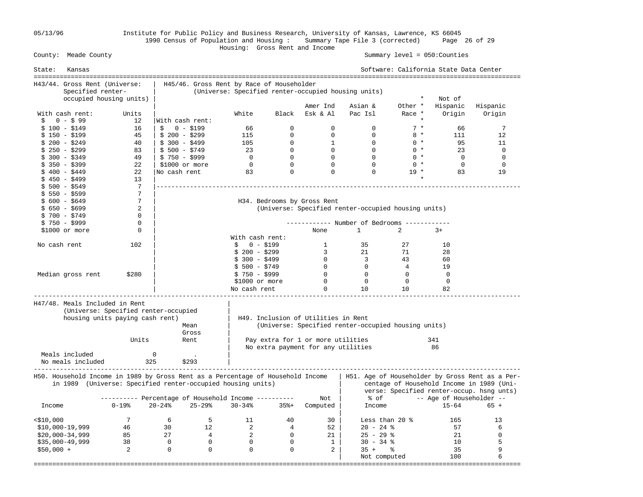05/13/96 Institute for Public Policy and Business Research, University of Kansas, Lawrence, KS 66045 1990 Census of Population and Housing : Summary Tape File 3 (corrected) Page 26 of 29

## Housing: Gross Rent and Income Summary level = 050:Counties

| State:       | Kansas                         |                                                                                 |                 |                                           |                 |                |                                     |                                                     |             | Software: California State Data Center |                                                                                        |
|--------------|--------------------------------|---------------------------------------------------------------------------------|-----------------|-------------------------------------------|-----------------|----------------|-------------------------------------|-----------------------------------------------------|-------------|----------------------------------------|----------------------------------------------------------------------------------------|
|              | H43/44. Gross Rent (Universe:  |                                                                                 |                 | H45/46. Gross Rent by Race of Householder |                 |                |                                     |                                                     |             |                                        |                                                                                        |
|              | Specified renter-              |                                                                                 |                 |                                           |                 |                |                                     | (Universe: Specified renter-occupied housing units) |             |                                        |                                                                                        |
|              |                                | occupied housing units)                                                         |                 |                                           |                 |                |                                     |                                                     | $\star$     | Not of                                 |                                                                                        |
|              |                                |                                                                                 |                 |                                           |                 |                | Amer Ind                            | Asian &                                             | Other *     | Hispanic                               | Hispanic                                                                               |
|              | With cash rent:                | Units                                                                           |                 |                                           | White           | Black          | Esk & Al                            | Pac Isl                                             | Race *      | Origin                                 | Origin                                                                                 |
| Ŝ.           | $0 - $99$                      | 12                                                                              | With cash rent: |                                           |                 |                |                                     |                                                     |             |                                        |                                                                                        |
|              | $$100 - $149$                  | 16                                                                              | Ŝ.              | $0 - $199$                                | 66              | $\mathbf 0$    | 0                                   | $\mathbf 0$                                         | $7 *$       | 66                                     | 7                                                                                      |
|              | $$150 - $199$                  | 45                                                                              | $$200 - $299$   |                                           | 115             | $\Omega$       | $\Omega$                            | $\Omega$                                            | $8 *$       | 111                                    | 12                                                                                     |
|              | \$ 200 - \$249                 | 40                                                                              | $$300 - $499$   |                                           | 105             | $\mathbf 0$    | $\mathbf{1}$                        | $\overline{0}$                                      | $0 *$       | 95                                     | 11                                                                                     |
|              | $$250 - $299$                  | 83                                                                              | $$500 - $749$   |                                           | 23              | $\Omega$       | $\overline{0}$                      | $\Omega$                                            | $0 *$       | 23                                     | $\Omega$                                                                               |
|              | $$300 - $349$                  | 49                                                                              | $$750 - $999$   |                                           | $\overline{0}$  | $\mathbf 0$    | $\overline{0}$                      | $\overline{0}$                                      | $0 *$       | $\overline{0}$                         | $\mathbf 0$                                                                            |
|              | \$ 350 - \$399                 | 22                                                                              | \$1000 or more  |                                           | $\overline{0}$  | $\overline{0}$ | $\mathbf 0$                         | $\Omega$                                            | $0 *$       | $\Omega$                               | 0                                                                                      |
|              | \$ 400 - \$449                 | 22                                                                              | No cash rent    |                                           | 83              | $\Omega$       | $\Omega$                            | $\Omega$                                            | $19 *$      | 83                                     | 19                                                                                     |
|              | $$450 - $499$                  | 13                                                                              |                 |                                           |                 |                |                                     |                                                     |             |                                        |                                                                                        |
|              | $$500 - $549$                  | 7                                                                               |                 |                                           |                 |                |                                     |                                                     |             |                                        |                                                                                        |
|              | $$550 - $599$                  | $7\phantom{.0}$                                                                 |                 |                                           |                 |                |                                     |                                                     |             |                                        |                                                                                        |
|              | $$600 - $649$                  | 7                                                                               |                 |                                           |                 |                | H34. Bedrooms by Gross Rent         |                                                     |             |                                        |                                                                                        |
|              | $$650 - $699$                  | 2                                                                               |                 |                                           |                 |                |                                     | (Universe: Specified renter-occupied housing units) |             |                                        |                                                                                        |
|              | $$700 - $749$                  | $\mathbf 0$                                                                     |                 |                                           |                 |                |                                     |                                                     |             |                                        |                                                                                        |
|              |                                | 0                                                                               |                 |                                           |                 |                |                                     |                                                     |             |                                        |                                                                                        |
|              | $$750 - $999$                  | 0                                                                               |                 |                                           |                 |                |                                     | ----------- Number of Bedrooms -----------          |             |                                        |                                                                                        |
|              | $$1000$ or more                |                                                                                 |                 |                                           |                 |                | None                                | $\mathbf{1}$                                        | 2           | $3+$                                   |                                                                                        |
|              |                                |                                                                                 |                 |                                           | With cash rent: |                |                                     |                                                     |             |                                        |                                                                                        |
| No cash rent |                                | 102                                                                             |                 |                                           | $$0 - $199$     |                | 1                                   | 35                                                  | 27          | 10                                     |                                                                                        |
|              |                                |                                                                                 |                 |                                           | $$200 - $299$   |                | $\overline{3}$                      | 21                                                  | 71          | 28                                     |                                                                                        |
|              |                                |                                                                                 |                 |                                           | $$300 - $499$   |                | $\overline{0}$                      | $\overline{\mathbf{3}}$                             | 43          | 60                                     |                                                                                        |
|              |                                |                                                                                 |                 |                                           | $$500 - $749$   |                | $\overline{0}$                      | $\overline{0}$                                      | 4           | 19                                     |                                                                                        |
|              | Median gross rent              | \$280                                                                           |                 |                                           | $$750 - $999$   |                | $\overline{0}$                      | $\overline{0}$                                      | $\mathbf 0$ | $\overline{0}$                         |                                                                                        |
|              |                                |                                                                                 |                 |                                           | \$1000 or more  |                | $\overline{0}$                      | $\overline{0}$                                      | $\mathbf 0$ | $\mathbf 0$                            |                                                                                        |
|              |                                |                                                                                 |                 |                                           | No cash rent    |                | 0                                   | 10                                                  | 10          | 82                                     |                                                                                        |
|              | H47/48. Meals Included in Rent |                                                                                 |                 |                                           |                 |                |                                     |                                                     |             |                                        |                                                                                        |
|              |                                | (Universe: Specified renter-occupied                                            |                 |                                           |                 |                |                                     |                                                     |             |                                        |                                                                                        |
|              |                                | housing units paying cash rent)                                                 |                 |                                           |                 |                | H49. Inclusion of Utilities in Rent |                                                     |             |                                        |                                                                                        |
|              |                                |                                                                                 |                 | Mean                                      |                 |                |                                     | (Universe: Specified renter-occupied housing units) |             |                                        |                                                                                        |
|              |                                |                                                                                 |                 | Gross                                     |                 |                |                                     |                                                     |             |                                        |                                                                                        |
|              |                                | Units                                                                           |                 | Rent                                      |                 |                | Pay extra for 1 or more utilities   |                                                     |             | 341                                    |                                                                                        |
|              |                                |                                                                                 |                 |                                           |                 |                | No extra payment for any utilities  |                                                     |             | 86                                     |                                                                                        |
|              | Meals included                 |                                                                                 | $\mathbf 0$     | $\overline{\phantom{a}}$                  |                 |                |                                     |                                                     |             |                                        |                                                                                        |
|              | No meals included              | 325                                                                             |                 | \$293                                     |                 |                |                                     |                                                     |             |                                        |                                                                                        |
|              |                                | H50. Household Income in 1989 by Gross Rent as a Percentage of Household Income |                 |                                           |                 |                |                                     |                                                     |             |                                        | H51. Age of Householder by Gross Rent as a Per-                                        |
|              |                                | in 1989 (Universe: Specified renter-occupied housing units)                     |                 |                                           |                 |                |                                     |                                                     |             |                                        |                                                                                        |
|              |                                |                                                                                 |                 |                                           |                 |                |                                     |                                                     |             |                                        | centage of Household Income in 1989 (Uni-<br>verse: Specified renter-occup. hsng unts) |
|              |                                |                                                                                 |                 |                                           |                 |                |                                     |                                                     |             |                                        |                                                                                        |
|              |                                | ---------- Percentage of Household Income ----------                            |                 |                                           |                 |                | Not                                 | % of                                                |             | -- Age of Householder --               |                                                                                        |
| Income       |                                | $0 - 19$ %                                                                      | $20 - 24$ %     | $25 - 29$                                 | $30 - 34%$      | $35% +$        | Computed                            | Income                                              |             | $15 - 64$                              | $65 +$                                                                                 |
| $<$ \$10,000 |                                | $7\overline{ }$                                                                 | 6               | 5                                         | 11              | 40             | 30                                  | Less than 20 $\textdegree$                          |             | 165                                    | 13                                                                                     |
|              | $$10,000-19,999$               | 46                                                                              | 30              | 12                                        | 2               | $\overline{4}$ | 52                                  | $20 - 24$ %                                         |             | 57                                     | 6                                                                                      |
|              | $$20,000-34,999$               | 85                                                                              | 27              | $\overline{4}$                            | 2               | $\overline{0}$ | 21                                  | $25 - 29$ %                                         |             | 21                                     | $\mathbf 0$                                                                            |
|              | $$35,000-49,999$               | 38                                                                              | $\overline{0}$  | $\Omega$                                  | $\Omega$        | $\Omega$       | 1                                   | $30 - 34$ %                                         |             | 10                                     | 5                                                                                      |
| $$50,000 +$  |                                | 2                                                                               | $\mathbf 0$     | $\mathbf 0$                               | $\mathbf 0$     | $\mathbf 0$    | $\overline{a}$                      | $35 +$                                              | ႜ           | 35                                     | 9                                                                                      |
|              |                                |                                                                                 |                 |                                           |                 |                |                                     | Not computed                                        |             | 100                                    | 6                                                                                      |
|              |                                |                                                                                 |                 |                                           |                 |                |                                     | ==========                                          |             | =============                          |                                                                                        |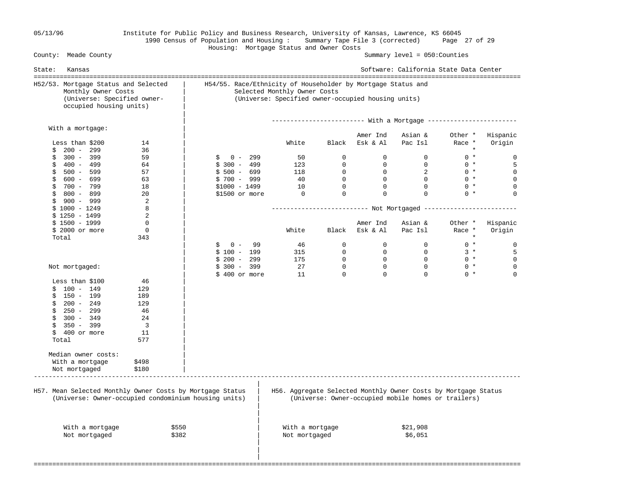## 05/13/96 Institute for Public Policy and Business Research, University of Kansas, Lawrence, KS 66045 1990 Census of Population and Housing : Summary Tape File 3 (corrected) Page 27 of 29 Housing: Mortgage Status and Owner Costs

| State: | Kansas                                                                                                                |                          |                                                                                                                                                    |                 |                |                | Software: California State Data Center                         |         |             |  |
|--------|-----------------------------------------------------------------------------------------------------------------------|--------------------------|----------------------------------------------------------------------------------------------------------------------------------------------------|-----------------|----------------|----------------|----------------------------------------------------------------|---------|-------------|--|
|        | H52/53. Mortgage Status and Selected<br>Monthly Owner Costs<br>(Universe: Specified owner-<br>occupied housing units) |                          | H54/55. Race/Ethnicity of Householder by Mortgage Status and<br>Selected Monthly Owner Costs<br>(Universe: Specified owner-occupied housing units) |                 |                |                |                                                                |         |             |  |
|        |                                                                                                                       |                          |                                                                                                                                                    |                 |                |                |                                                                |         |             |  |
|        | With a mortgage:                                                                                                      |                          |                                                                                                                                                    |                 |                | Amer Ind       | Asian &                                                        | Other * | Hispanic    |  |
|        | Less than \$200                                                                                                       | 14                       |                                                                                                                                                    | White           | Black          | Esk & Al       | Pac Isl                                                        | Race *  | Origin      |  |
| S.     | $200 - 299$                                                                                                           | 36                       |                                                                                                                                                    |                 |                |                |                                                                | $\star$ |             |  |
| \$     | $300 - 399$                                                                                                           | 59                       | $0 - 299$<br>\$                                                                                                                                    | 50              | $\overline{0}$ | $\Omega$       | $\Omega$                                                       | $0 *$   | 0           |  |
| \$     | 400 - 499                                                                                                             | 64                       | $$300 - 499$                                                                                                                                       | 123             | $\Omega$       | $\Omega$       | $\Omega$                                                       | $0 *$   | 5           |  |
| \$     | 500 - 599                                                                                                             | 57                       | $$500 - 699$                                                                                                                                       | 118             | $\overline{0}$ | 0              | 2                                                              | $0 *$   | $\mathbf 0$ |  |
| \$     | 600 - 699                                                                                                             | 63                       | $$700 - 999$                                                                                                                                       | 40              | $\overline{0}$ | $\Omega$       | $\overline{0}$                                                 | $0 *$   | $\mathbf 0$ |  |
| \$     | 700 - 799                                                                                                             | 18                       | $$1000 - 1499$                                                                                                                                     | 10              | $\Omega$       | $\Omega$       | $\Omega$                                                       | $0 *$   | $\mathbf 0$ |  |
|        | $$800 - 899$                                                                                                          | 20                       | \$1500 or more                                                                                                                                     | $\overline{0}$  | $\mathbf 0$    | $\mathbf 0$    | $\Omega$                                                       | $0 *$   | $\mathbf 0$ |  |
|        | $$900 - 999$                                                                                                          | 2                        |                                                                                                                                                    |                 |                |                |                                                                |         |             |  |
|        | $$1000 - 1249$                                                                                                        | 8                        |                                                                                                                                                    |                 |                |                |                                                                |         |             |  |
|        | $$1250 - 1499$                                                                                                        | 2                        |                                                                                                                                                    |                 |                |                |                                                                |         |             |  |
|        | $$1500 - 1999$                                                                                                        | 0                        |                                                                                                                                                    |                 |                | Amer Ind       | Asian &                                                        | Other * | Hispanic    |  |
|        | $$2000$ or more                                                                                                       | $\mathbf 0$              |                                                                                                                                                    | White           | Black          | Esk & Al       | Pac Isl                                                        | Race *  | Origin      |  |
|        | Total                                                                                                                 | 343                      |                                                                                                                                                    |                 |                |                |                                                                | $\star$ |             |  |
|        |                                                                                                                       |                          | $0 -$<br>99<br>\$                                                                                                                                  | 46              | $\mathbf{0}$   | $\circ$        | $\overline{0}$                                                 | $0 *$   | 0           |  |
|        |                                                                                                                       |                          | $$100 - 199$                                                                                                                                       | 315             | $\mathbf{0}$   | $\overline{0}$ | $\Omega$                                                       | $3 *$   | 5           |  |
|        |                                                                                                                       |                          | $$200 - 299$                                                                                                                                       | 175             | $\overline{0}$ | $\overline{0}$ | $\Omega$                                                       | $0 *$   | $\mathsf 0$ |  |
|        | Not mortgaged:                                                                                                        |                          | $$300 - 399$                                                                                                                                       | 27              | $\mathbf 0$    | $\mathbf 0$    | $\mathbf 0$                                                    | $0 *$   | $\mathsf 0$ |  |
|        |                                                                                                                       |                          | \$ 400 or more                                                                                                                                     | 11              | $\Omega$       | $\Omega$       | $\Omega$                                                       | $0 *$   | $\Omega$    |  |
|        | Less than \$100                                                                                                       | 46                       |                                                                                                                                                    |                 |                |                |                                                                |         |             |  |
| \$     | $100 - 149$                                                                                                           | 129                      |                                                                                                                                                    |                 |                |                |                                                                |         |             |  |
|        | $$150 - 199$                                                                                                          | 189                      |                                                                                                                                                    |                 |                |                |                                                                |         |             |  |
|        | $$200 - 249$                                                                                                          | 129                      |                                                                                                                                                    |                 |                |                |                                                                |         |             |  |
| \$     | 250 - 299                                                                                                             | 46                       |                                                                                                                                                    |                 |                |                |                                                                |         |             |  |
| \$     | $300 - 349$                                                                                                           | 24                       |                                                                                                                                                    |                 |                |                |                                                                |         |             |  |
| \$     | 350 - 399                                                                                                             | $\overline{\phantom{a}}$ |                                                                                                                                                    |                 |                |                |                                                                |         |             |  |
| \$     | 400 or more                                                                                                           | 11                       |                                                                                                                                                    |                 |                |                |                                                                |         |             |  |
|        | Total                                                                                                                 | 577                      |                                                                                                                                                    |                 |                |                |                                                                |         |             |  |
|        |                                                                                                                       |                          |                                                                                                                                                    |                 |                |                |                                                                |         |             |  |
|        | Median owner costs:                                                                                                   |                          |                                                                                                                                                    |                 |                |                |                                                                |         |             |  |
|        |                                                                                                                       |                          |                                                                                                                                                    |                 |                |                |                                                                |         |             |  |
|        | With a mortgage                                                                                                       | \$498<br>\$180           |                                                                                                                                                    |                 |                |                |                                                                |         |             |  |
|        | Not mortgaged                                                                                                         |                          |                                                                                                                                                    |                 |                |                |                                                                |         |             |  |
|        |                                                                                                                       |                          |                                                                                                                                                    |                 |                |                |                                                                |         |             |  |
|        |                                                                                                                       |                          | H57. Mean Selected Monthly Owner Costs by Mortgage Status                                                                                          |                 |                |                | H56. Aggregate Selected Monthly Owner Costs by Mortgage Status |         |             |  |
|        |                                                                                                                       |                          | (Universe: Owner-occupied condominium housing units)                                                                                               |                 |                |                | (Universe: Owner-occupied mobile homes or trailers)            |         |             |  |
|        |                                                                                                                       |                          |                                                                                                                                                    |                 |                |                |                                                                |         |             |  |
|        |                                                                                                                       |                          |                                                                                                                                                    |                 |                |                |                                                                |         |             |  |
|        |                                                                                                                       |                          |                                                                                                                                                    |                 |                |                |                                                                |         |             |  |
|        | With a mortgage                                                                                                       | \$550                    |                                                                                                                                                    | With a mortgage |                |                | \$21,908                                                       |         |             |  |
|        | Not mortgaged                                                                                                         | \$382                    |                                                                                                                                                    | Not mortgaged   |                |                | \$6,051                                                        |         |             |  |
|        |                                                                                                                       |                          |                                                                                                                                                    |                 |                |                |                                                                |         |             |  |
|        |                                                                                                                       |                          |                                                                                                                                                    |                 |                |                |                                                                |         |             |  |
|        |                                                                                                                       |                          |                                                                                                                                                    |                 |                |                |                                                                |         |             |  |
|        |                                                                                                                       |                          |                                                                                                                                                    |                 |                |                |                                                                |         |             |  |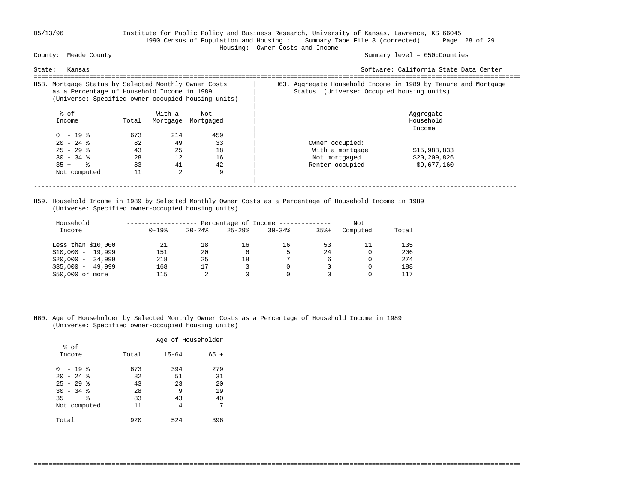## 05/13/96 Institute for Public Policy and Business Research, University of Kansas, Lawrence, KS 66045 1990 Census of Population and Housing : Summary Tape File 3 (corrected) Page 28 of 29 Housing: Owner Costs and Income

### Summary level =  $050$ : Counties

| Software: California State Data Center                                                                                |
|-----------------------------------------------------------------------------------------------------------------------|
| H63. Aggregate Household Income in 1989 by Tenure and Mortgage<br>Status (Universe: Occupied housing units)           |
| Aggregate<br>Household<br>Income                                                                                      |
| Owner occupied:<br>With a mortgage<br>\$15,988,833<br>\$20,209,826<br>Not mortgaged<br>\$9,677,160<br>Renter occupied |
|                                                                                                                       |

 H59. Household Income in 1989 by Selected Monthly Owner Costs as a Percentage of Household Income in 1989 (Universe: Specified owner-occupied housing units)

| Income              | $0 - 19$ % | $20 - 24$ | $25 - 29$ | $30 - 34$     | $35% +$ | Computed | Total |
|---------------------|------------|-----------|-----------|---------------|---------|----------|-------|
| Less than $$10,000$ | 21         | 18        | 16        | 16            | 53      |          | 135   |
| $$10,000 - 19,999$  | 151        | 20        | 6         | 5.            | 2.4     |          | 206   |
| $$20.000 - 34.999$  | 218        | 25        | 18        | $\mathcal{L}$ | 6       |          | 274   |
| $$35,000 - 49,999$  | 168        | 17        |           |               | 0       |          | 188   |
| \$50,000 or more    | 115        | 2         |           |               | 0       |          | 117   |

----------------------------------------------------------------------------------------------------------------------------------

===================================================================================================================================

 H60. Age of Householder by Selected Monthly Owner Costs as a Percentage of Household Income in 1989 (Universe: Specified owner-occupied housing units)

|                         |       | Age of Householder |        |
|-------------------------|-------|--------------------|--------|
| % of<br>Income          | Total | $15 - 64$          | $65 +$ |
| $-19$ %<br><sup>0</sup> | 673   | 394                | 279    |
| $20 - 24$ %             | 82    | 51                 | 31     |
| $25 - 29$ %             | 43    | 23                 | 20     |
| $30 - 34$ %             | 28    | 9                  | 19     |
| ٩,<br>$35 +$            | 83    | 43                 | 40     |
| Not computed            | 11    | 4                  | 7      |
| Total                   | 920   | 524                | 396    |